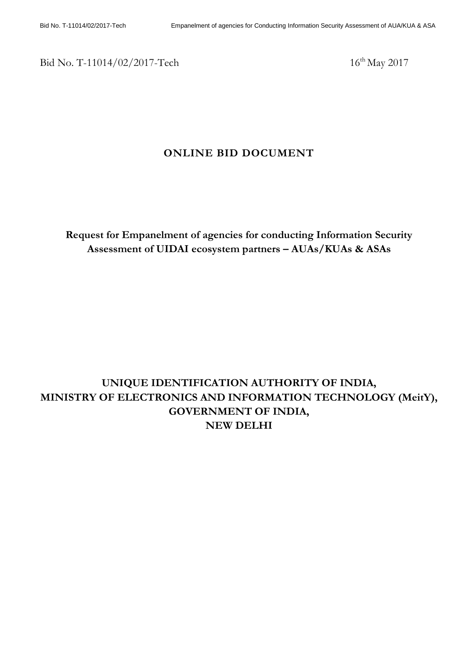Bid No. T-11014/02/2017-Tech 16<sup>th</sup> May 2017

## **ONLINE BID DOCUMENT**

**Request for Empanelment of agencies for conducting Information Security Assessment of UIDAI ecosystem partners – AUAs/KUAs & ASAs**

# **UNIQUE IDENTIFICATION AUTHORITY OF INDIA, MINISTRY OF ELECTRONICS AND INFORMATION TECHNOLOGY (MeitY), GOVERNMENT OF INDIA, NEW DELHI**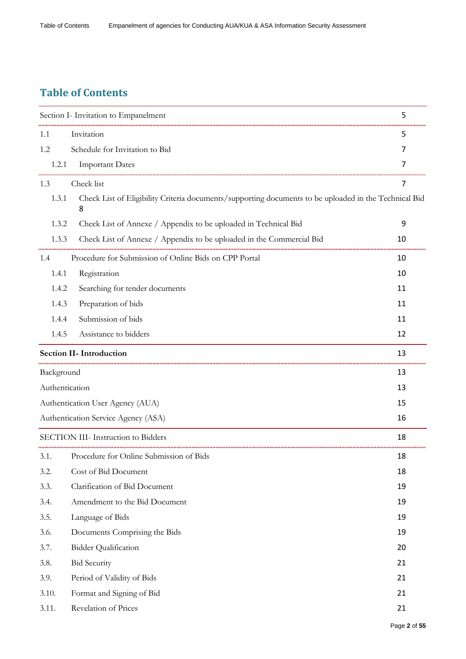# **Table of Contents**

|                | Section I- Invitation to Empanelment                                                                       | 5  |
|----------------|------------------------------------------------------------------------------------------------------------|----|
| 1.1            | Invitation                                                                                                 | 5  |
| 1.2            | Schedule for Invitation to Bid                                                                             | 7  |
| 1.2.1          | <b>Important Dates</b>                                                                                     | 7  |
| 1.3            | Check list                                                                                                 | 7  |
| 1.3.1          | Check List of Eligibility Criteria documents/supporting documents to be uploaded in the Technical Bid<br>8 |    |
| 1.3.2          | Check List of Annexe / Appendix to be uploaded in Technical Bid                                            | 9  |
| 1.3.3          | Check List of Annexe / Appendix to be uploaded in the Commercial Bid                                       | 10 |
| 1.4            | Procedure for Submission of Online Bids on CPP Portal                                                      | 10 |
| 1.4.1          | Registration                                                                                               | 10 |
| 1.4.2          | Searching for tender documents                                                                             | 11 |
| 1.4.3          | Preparation of bids                                                                                        | 11 |
| 1.4.4          | Submission of bids                                                                                         | 11 |
| 1.4.5          | Assistance to bidders                                                                                      | 12 |
|                | <b>Section II- Introduction</b>                                                                            | 13 |
| Background     |                                                                                                            | 13 |
| Authentication |                                                                                                            | 13 |
|                | Authentication User Agency (AUA)                                                                           | 15 |
|                | Authentication Service Agency (ASA)                                                                        | 16 |
|                | SECTION III- Instruction to Bidders                                                                        | 18 |
| 3.1.           | Procedure for Online Submission of Bids                                                                    | 18 |
| 3.2.           | Cost of Bid Document                                                                                       | 18 |
| 3.3.           | Clarification of Bid Document                                                                              | 19 |
| 3.4.           | Amendment to the Bid Document                                                                              | 19 |
| 3.5.           | Language of Bids                                                                                           | 19 |
| 3.6.           | Documents Comprising the Bids                                                                              | 19 |
| 3.7.           | <b>Bidder Qualification</b>                                                                                | 20 |
| 3.8.           | <b>Bid Security</b>                                                                                        | 21 |
| 3.9.           | Period of Validity of Bids                                                                                 | 21 |
| 3.10.          | Format and Signing of Bid                                                                                  | 21 |
| 3.11.          | Revelation of Prices                                                                                       | 21 |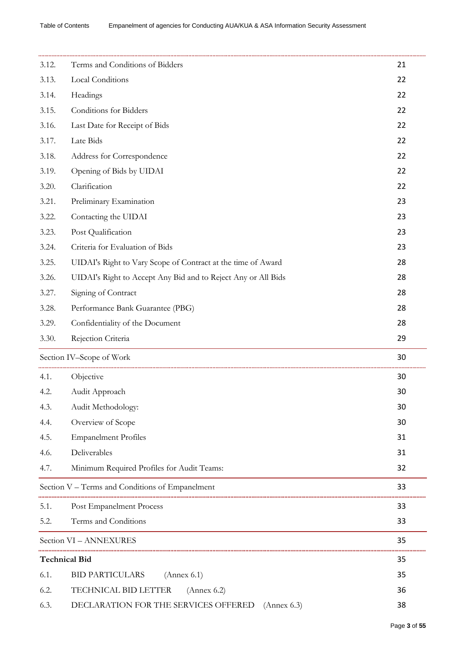| 3.12. | Terms and Conditions of Bidders                               | 21 |
|-------|---------------------------------------------------------------|----|
| 3.13. | Local Conditions                                              | 22 |
| 3.14. | Headings                                                      | 22 |
| 3.15. | Conditions for Bidders                                        | 22 |
| 3.16. | Last Date for Receipt of Bids                                 | 22 |
| 3.17. | Late Bids                                                     | 22 |
| 3.18. | Address for Correspondence                                    | 22 |
| 3.19. | Opening of Bids by UIDAI                                      | 22 |
| 3.20. | Clarification                                                 | 22 |
| 3.21. | Preliminary Examination                                       | 23 |
| 3.22. | Contacting the UIDAI                                          | 23 |
| 3.23. | Post Qualification                                            | 23 |
| 3.24. | Criteria for Evaluation of Bids                               | 23 |
| 3.25. | UIDAI's Right to Vary Scope of Contract at the time of Award  | 28 |
| 3.26. | UIDAI's Right to Accept Any Bid and to Reject Any or All Bids | 28 |
| 3.27. | Signing of Contract                                           | 28 |
| 3.28. | Performance Bank Guarantee (PBG)                              | 28 |
| 3.29. | Confidentiality of the Document                               | 28 |
| 3.30. | Rejection Criteria                                            | 29 |
|       | Section IV-Scope of Work                                      | 30 |
| 4.1.  | Objective                                                     | 30 |
| 4.2.  | Audit Approach                                                | 30 |
| 4.3.  | Audit Methodology:                                            | 30 |
| 4.4.  | Overview of Scope                                             | 30 |
| 4.5.  | <b>Empanelment Profiles</b>                                   | 31 |
| 4.6.  | Deliverables                                                  | 31 |
| 4.7.  | Minimum Required Profiles for Audit Teams:                    | 32 |
|       | Section V - Terms and Conditions of Empanelment               | 33 |
| 5.1.  | Post Empanelment Process                                      | 33 |
| 5.2.  | Terms and Conditions                                          | 33 |
|       | Section VI - ANNEXURES                                        | 35 |
|       | <b>Technical Bid</b>                                          | 35 |
| 6.1.  | <b>BID PARTICULARS</b><br>(Annex 6.1)                         | 35 |
| 6.2.  | TECHNICAL BID LETTER<br>(Annex 6.2)                           | 36 |
| 6.3.  | DECLARATION FOR THE SERVICES OFFERED<br>(Annex 6.3)           | 38 |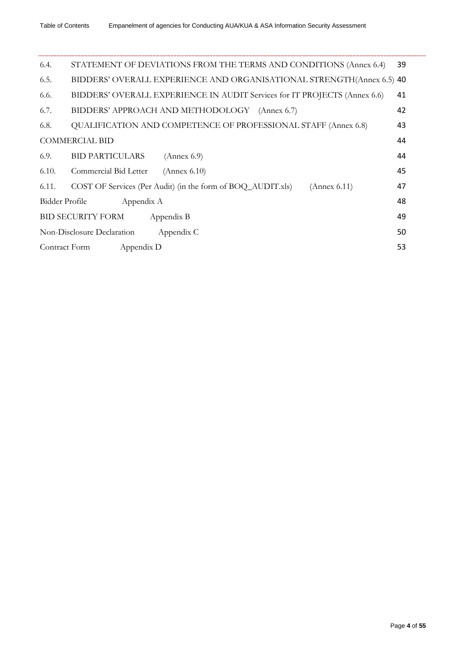| 6.4.           | STATEMENT OF DEVIATIONS FROM THE TERMS AND CONDITIONS (Annex 6.4)           | 39 |
|----------------|-----------------------------------------------------------------------------|----|
| 6.5.           | BIDDERS' OVERALL EXPERIENCE AND ORGANISATIONAL STRENGTH(Annex 6.5) 40       |    |
| 6.6.           | BIDDERS' OVERALL EXPERIENCE IN AUDIT Services for IT PROJECTS (Annex 6.6)   | 41 |
| 6.7.           | BIDDERS' APPROACH AND METHODOLOGY (Annex 6.7)                               | 42 |
| 6.8.           | QUALIFICATION AND COMPETENCE OF PROFESSIONAL STAFF (Annex 6.8)              | 43 |
|                | <b>COMMERCIAL BID</b>                                                       | 44 |
| 6.9.           | <b>BID PARTICULARS</b><br>(Annex 6.9)                                       | 44 |
| 6.10.          | Commercial Bid Letter<br>(Annex 6.10)                                       | 45 |
| 6.11.          | COST OF Services (Per Audit) (in the form of BOQ_AUDIT.xls)<br>(Annex 6.11) | 47 |
| Bidder Profile | Appendix A                                                                  | 48 |
|                | <b>BID SECURITY FORM</b><br>Appendix B                                      | 49 |
|                | Non-Disclosure Declaration<br>Appendix C                                    | 50 |
| Contract Form  | Appendix D                                                                  | 53 |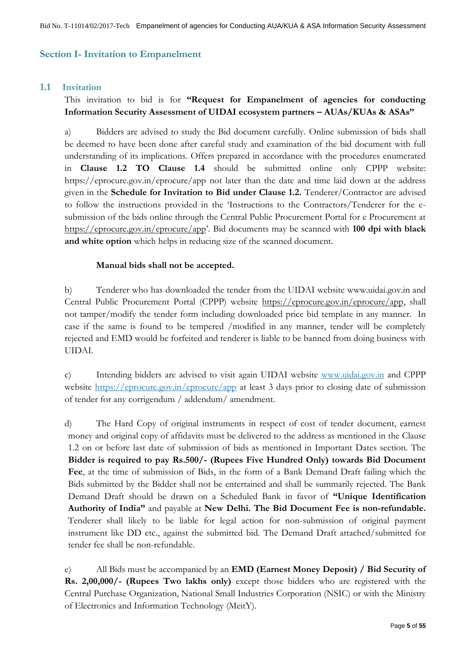## <span id="page-4-0"></span>**Section I- Invitation to Empanelment**

### <span id="page-4-1"></span>**1.1 Invitation**

## This invitation to bid is for **"Request for Empanelment of agencies for conducting Information Security Assessment of UIDAI ecosystem partners – AUAs/KUAs & ASAs"**

a) Bidders are advised to study the Bid document carefully. Online submission of bids shall be deemed to have been done after careful study and examination of the bid document with full understanding of its implications. Offers prepared in accordance with the procedures enumerated in **Clause 1.2 TO Clause 1.4** should be submitted online only CPPP website: <https://eprocure.gov.in/eprocure/app> not later than the date and time laid down at the address given in the **Schedule for Invitation to Bid under Clause 1.2.** Tenderer/Contractor are advised to follow the instructions provided in the "Instructions to the Contractors/Tenderer for the esubmission of the bids online through the Central Public Procurement Portal for e Procurement at <https://eprocure.gov.in/eprocure/app>". Bid documents may be scanned with **100 dpi with black and white option** which helps in reducing size of the scanned document.

## **Manual bids shall not be accepted.**

b) Tenderer who has downloaded the tender from the UIDAI website www.uidai.gov.in and Central Public Procurement Portal (CPPP) website [https://eprocure.gov.in/eprocure/app,](https://eprocure.gov.in/eprocure/app) shall not tamper/modify the tender form including downloaded price bid template in any manner. In case if the same is found to be tempered /modified in any manner, tender will be completely rejected and EMD would be forfeited and tenderer is liable to be banned from doing business with UIDAI.

c) Intending bidders are advised to visit again UIDAI website [www.uidai.gov.in](file:///C:/Users/simranjot%20singh/Downloads/www.uidai.gov.in) and CPPP website<https://eprocure.gov.in/eprocure/app> at least 3 days prior to closing date of submission of tender for any corrigendum / addendum/ amendment.

d) The Hard Copy of original instruments in respect of cost of tender document, earnest money and original copy of affidavits must be delivered to the address as mentioned in the Clause 1.2 on or before last date of submission of bids as mentioned in Important Dates section. The **Bidder is required to pay Rs.500/- (Rupees Five Hundred Only) towards Bid Document Fee**, at the time of submission of Bids, in the form of a Bank Demand Draft failing which the Bids submitted by the Bidder shall not be entertained and shall be summarily rejected. The Bank Demand Draft should be drawn on a Scheduled Bank in favor of **"Unique Identification Authority of India"** and payable at **New Delhi. The Bid Document Fee is non-refundable.**  Tenderer shall likely to be liable for legal action for non-submission of original payment instrument like DD etc., against the submitted bid. The Demand Draft attached/submitted for tender fee shall be non-refundable.

e) All Bids must be accompanied by an **EMD (Earnest Money Deposit) / Bid Security of Rs. 2,00,000/- (Rupees Two lakhs only)** except those bidders who are registered with the Central Purchase Organization, National Small Industries Corporation (NSIC) or with the Ministry of Electronics and Information Technology (MeitY).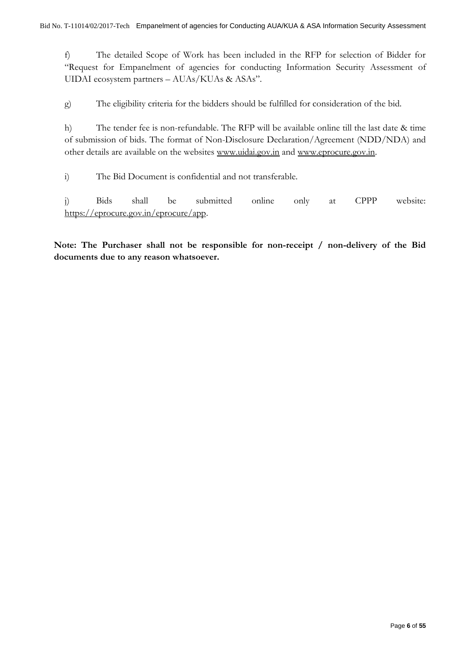f) The detailed Scope of Work has been included in the RFP for selection of Bidder for "Request for Empanelment of agencies for conducting Information Security Assessment of UIDAI ecosystem partners – AUAs/KUAs & ASAs".

g) The eligibility criteria for the bidders should be fulfilled for consideration of the bid.

h) The tender fee is non-refundable. The RFP will be available online till the last date & time of submission of bids. The format of Non-Disclosure Declaration/Agreement (NDD/NDA) and other details are available on the websites [www.uidai.gov.in](http://www.uidai.gov.in/) and [www.eprocure.gov.in.](http://www.eprocure.gov.in/)

i) The Bid Document is confidential and not transferable.

j) Bids shall be submitted online only at CPPP website: [https://eprocure.gov.in/eprocure/app.](https://eprocure.gov.in/eprocure/app)

**Note: The Purchaser shall not be responsible for non-receipt / non-delivery of the Bid documents due to any reason whatsoever.**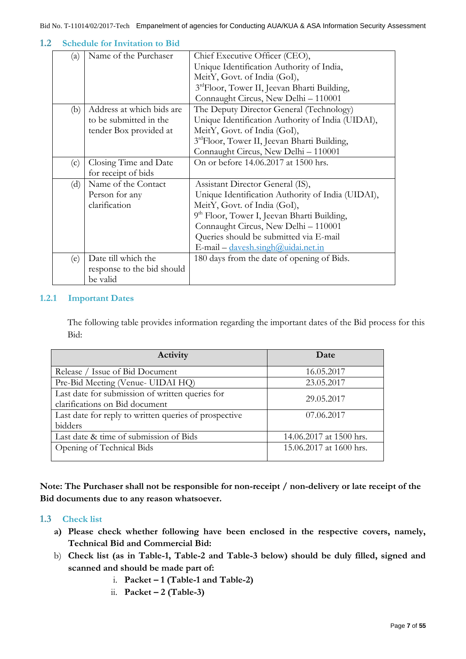| (a) | Name of the Purchaser      | Chief Executive Officer (CEO),                           |  |
|-----|----------------------------|----------------------------------------------------------|--|
|     |                            | Unique Identification Authority of India,                |  |
|     |                            | MeitY, Govt. of India (GoI),                             |  |
|     |                            | 3rdFloor, Tower II, Jeevan Bharti Building,              |  |
|     |                            | Connaught Circus, New Delhi - 110001                     |  |
| (b) | Address at which bids are  | The Deputy Director General (Technology)                 |  |
|     | to be submitted in the     | Unique Identification Authority of India (UIDAI),        |  |
|     | tender Box provided at     | MeitY, Govt. of India (GoI),                             |  |
|     |                            | 3 <sup>rd</sup> Floor, Tower II, Jeevan Bharti Building, |  |
|     |                            | Connaught Circus, New Delhi - 110001                     |  |
| (c) | Closing Time and Date      | On or before 14.06.2017 at 1500 hrs.                     |  |
|     | for receipt of bids        |                                                          |  |
| (d) | Name of the Contact        | Assistant Director General (IS),                         |  |
|     | Person for any             | Unique Identification Authority of India (UIDAI),        |  |
|     | clarification              | MeitY, Govt. of India (GoI),                             |  |
|     |                            | 9 <sup>th</sup> Floor, Tower I, Jeevan Bharti Building,  |  |
|     |                            | Connaught Circus, New Delhi - 110001                     |  |
|     |                            | Queries should be submitted via E-mail                   |  |
|     |                            | E-mail - davesh.singh@uidai.net.in                       |  |
| (e) | Date till which the        | 180 days from the date of opening of Bids.               |  |
|     | response to the bid should |                                                          |  |
|     | be valid                   |                                                          |  |

#### <span id="page-6-0"></span>**1.2 Schedule for Invitation to Bid**

## <span id="page-6-1"></span>**1.2.1 Important Dates**

The following table provides information regarding the important dates of the Bid process for this Bid:

| Activity                                                                          | Date                    |
|-----------------------------------------------------------------------------------|-------------------------|
| Release / Issue of Bid Document                                                   | 16.05.2017              |
| Pre-Bid Meeting (Venue- UIDAI HQ)                                                 | 23.05.2017              |
| Last date for submission of written queries for<br>clarifications on Bid document | 29.05.2017              |
| Last date for reply to written queries of prospective<br>bidders                  | 07.06.2017              |
| Last date & time of submission of Bids                                            | 14.06.2017 at 1500 hrs. |
| Opening of Technical Bids                                                         | 15.06.2017 at 1600 hrs. |

**Note: The Purchaser shall not be responsible for non-receipt / non-delivery or late receipt of the Bid documents due to any reason whatsoever.**

### <span id="page-6-2"></span>**1.3 Check list**

- **a) Please check whether following have been enclosed in the respective covers, namely, Technical Bid and Commercial Bid:**
- b) **Check list (as in Table-1, Table-2 and Table-3 below) should be duly filled, signed and scanned and should be made part of:**
	- i. **Packet – 1 (Table-1 and Table-2)**
	- ii. **Packet – 2 (Table-3)**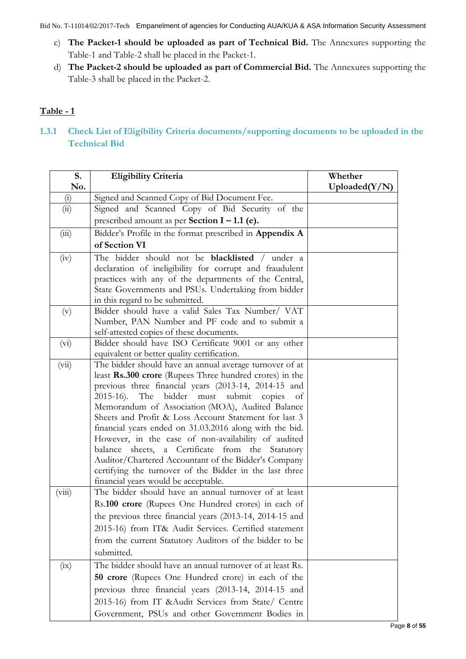- c) **The Packet-1 should be uploaded as part of Technical Bid.** The Annexures supporting the Table-1 and Table-2 shall be placed in the Packet-1.
- d) **The Packet-2 should be uploaded as part of Commercial Bid.** The Annexures supporting the Table-3 shall be placed in the Packet-2.

## **Table - 1**

<span id="page-7-0"></span>**1.3.1 Check List of Eligibility Criteria documents/supporting documents to be uploaded in the Technical Bid**

| S.     | <b>Eligibility Criteria</b>                                                                                                                                                                                                                                                                                                                                                                                                                                                                                                                                                                                                                                               | Whether       |
|--------|---------------------------------------------------------------------------------------------------------------------------------------------------------------------------------------------------------------------------------------------------------------------------------------------------------------------------------------------------------------------------------------------------------------------------------------------------------------------------------------------------------------------------------------------------------------------------------------------------------------------------------------------------------------------------|---------------|
| No.    |                                                                                                                                                                                                                                                                                                                                                                                                                                                                                                                                                                                                                                                                           | Uploaded(Y/N) |
| (i)    | Signed and Scanned Copy of Bid Document Fee.                                                                                                                                                                                                                                                                                                                                                                                                                                                                                                                                                                                                                              |               |
| (ii)   | Signed and Scanned Copy of Bid Security of the                                                                                                                                                                                                                                                                                                                                                                                                                                                                                                                                                                                                                            |               |
|        | prescribed amount as per Section $I - 1.1$ (e).                                                                                                                                                                                                                                                                                                                                                                                                                                                                                                                                                                                                                           |               |
| (iii)  | Bidder's Profile in the format prescribed in Appendix A                                                                                                                                                                                                                                                                                                                                                                                                                                                                                                                                                                                                                   |               |
|        | of Section VI                                                                                                                                                                                                                                                                                                                                                                                                                                                                                                                                                                                                                                                             |               |
| (iv)   | The bidder should not be <b>blacklisted</b> / under a<br>declaration of ineligibility for corrupt and fraudulent                                                                                                                                                                                                                                                                                                                                                                                                                                                                                                                                                          |               |
|        | practices with any of the departments of the Central,<br>State Governments and PSUs. Undertaking from bidder<br>in this regard to be submitted.                                                                                                                                                                                                                                                                                                                                                                                                                                                                                                                           |               |
| (v)    | Bidder should have a valid Sales Tax Number/ VAT<br>Number, PAN Number and PF code and to submit a<br>self-attested copies of these documents.                                                                                                                                                                                                                                                                                                                                                                                                                                                                                                                            |               |
| (vi)   | Bidder should have ISO Certificate 9001 or any other<br>equivalent or better quality certification.                                                                                                                                                                                                                                                                                                                                                                                                                                                                                                                                                                       |               |
| (vii)  | The bidder should have an annual average turnover of at<br>least Rs.300 crore (Rupees Three hundred crores) in the<br>previous three financial years (2013-14, 2014-15 and<br>2015-16). The bidder must submit copies<br>of<br>Memorandum of Association (MOA), Audited Balance<br>Sheets and Profit & Loss Account Statement for last 3<br>financial years ended on 31.03.2016 along with the bid.<br>However, in the case of non-availability of audited<br>balance sheets, a Certificate from the Statutory<br>Auditor/Chartered Accountant of the Bidder's Company<br>certifying the turnover of the Bidder in the last three<br>financial years would be acceptable. |               |
| (viii) | The bidder should have an annual turnover of at least<br>Rs.100 crore (Rupees One Hundred crores) in each of<br>the previous three financial years (2013-14, 2014-15 and<br>2015-16) from IT& Audit Services. Certified statement<br>from the current Statutory Auditors of the bidder to be<br>submitted.                                                                                                                                                                                                                                                                                                                                                                |               |
| (ix)   | The bidder should have an annual turnover of at least Rs.<br>50 crore (Rupees One Hundred crore) in each of the<br>previous three financial years (2013-14, 2014-15 and<br>2015-16) from IT & Audit Services from State/ Centre<br>Government, PSUs and other Government Bodies in                                                                                                                                                                                                                                                                                                                                                                                        |               |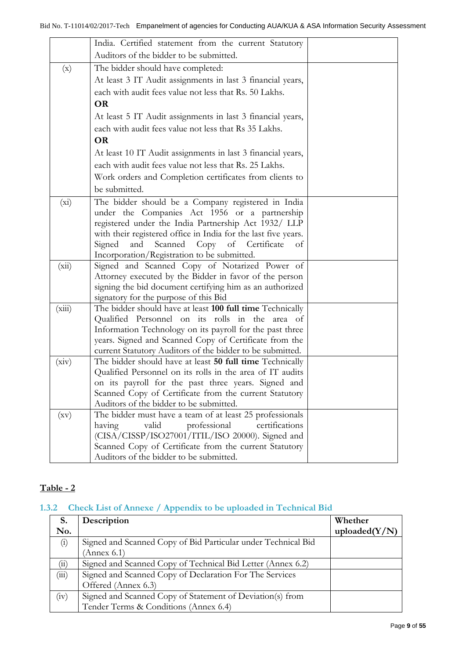|                           | India. Certified statement from the current Statutory          |  |
|---------------------------|----------------------------------------------------------------|--|
|                           | Auditors of the bidder to be submitted.                        |  |
|                           |                                                                |  |
| $\left(\mathrm{x}\right)$ | The bidder should have completed:                              |  |
|                           | At least 3 IT Audit assignments in last 3 financial years,     |  |
|                           | each with audit fees value not less that Rs. 50 Lakhs.         |  |
|                           | <b>OR</b>                                                      |  |
|                           | At least 5 IT Audit assignments in last 3 financial years,     |  |
|                           | each with audit fees value not less that Rs 35 Lakhs.          |  |
|                           | <b>OR</b>                                                      |  |
|                           | At least 10 IT Audit assignments in last 3 financial years,    |  |
|                           | each with audit fees value not less that Rs. 25 Lakhs.         |  |
|                           | Work orders and Completion certificates from clients to        |  |
|                           | be submitted.                                                  |  |
| $(x_i)$                   | The bidder should be a Company registered in India             |  |
|                           | under the Companies Act 1956 or a partnership                  |  |
|                           | registered under the India Partnership Act 1932/ LLP           |  |
|                           | with their registered office in India for the last five years. |  |
|                           | Scanned Copy of Certificate<br>Signed<br>and<br>of             |  |
|                           | Incorporation/Registration to be submitted.                    |  |
| (xii)                     | Signed and Scanned Copy of Notarized Power of                  |  |
|                           | Attorney executed by the Bidder in favor of the person         |  |
|                           | signing the bid document certifying him as an authorized       |  |
|                           | signatory for the purpose of this Bid                          |  |
| (xiii)                    | The bidder should have at least 100 full time Technically      |  |
|                           | Qualified Personnel on its rolls in the area of                |  |
|                           | Information Technology on its payroll for the past three       |  |
|                           | years. Signed and Scanned Copy of Certificate from the         |  |
|                           | current Statutory Auditors of the bidder to be submitted.      |  |
| (xiv)                     | The bidder should have at least 50 full time Technically       |  |
|                           | Qualified Personnel on its rolls in the area of IT audits      |  |
|                           | on its payroll for the past three years. Signed and            |  |
|                           | Scanned Copy of Certificate from the current Statutory         |  |
|                           | Auditors of the bidder to be submitted.                        |  |
| $\left(\rm{xv}\right)$    | The bidder must have a team of at least 25 professionals       |  |
|                           | having<br>professional<br>certifications<br>valid              |  |
|                           | (CISA/CISSP/ISO27001/ITIL/ISO 20000). Signed and               |  |
|                           | Scanned Copy of Certificate from the current Statutory         |  |
|                           | Auditors of the bidder to be submitted.                        |  |

## **Table - 2**

## <span id="page-8-0"></span>**1.3.2 Check List of Annexe / Appendix to be uploaded in Technical Bid**

| S.             | Description                                                   | Whether          |
|----------------|---------------------------------------------------------------|------------------|
| No.            |                                                               | uploaded $(Y/N)$ |
| $\binom{1}{1}$ | Signed and Scanned Copy of Bid Particular under Technical Bid |                  |
|                | Annex 6.1)                                                    |                  |
| $\binom{1}{1}$ | Signed and Scanned Copy of Technical Bid Letter (Annex 6.2)   |                  |
| (iii)          | Signed and Scanned Copy of Declaration For The Services       |                  |
|                | Offered (Annex 6.3)                                           |                  |
| (iv)           | Signed and Scanned Copy of Statement of Deviation(s) from     |                  |
|                | Tender Terms & Conditions (Annex 6.4)                         |                  |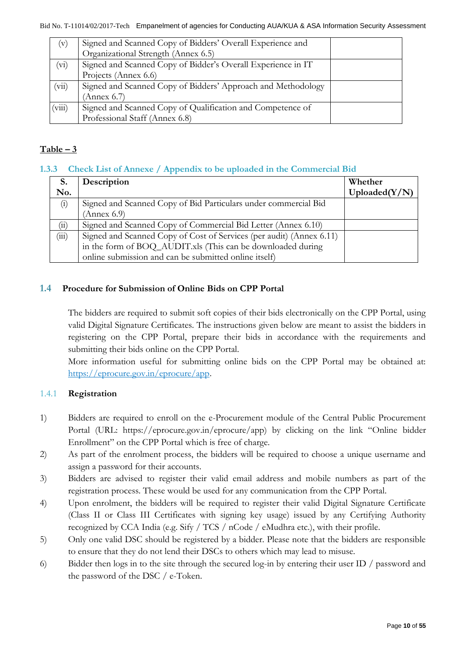| $(\mathrm{v})$ | Signed and Scanned Copy of Bidders' Overall Experience and   |  |
|----------------|--------------------------------------------------------------|--|
|                | Organizational Strength (Annex 6.5)                          |  |
| $\rm(vi)$      | Signed and Scanned Copy of Bidder's Overall Experience in IT |  |
|                | Projects (Annex 6.6)                                         |  |
| (vii)          | Signed and Scanned Copy of Bidders' Approach and Methodology |  |
|                | (Annex 6.7)                                                  |  |
| (viii)         | Signed and Scanned Copy of Qualification and Competence of   |  |
|                | Professional Staff (Annex 6.8)                               |  |

## $Table - 3$

## <span id="page-9-0"></span>**1.3.3 Check List of Annexe / Appendix to be uploaded in the Commercial Bid**

| S.          | Description                                                          | Whether     |
|-------------|----------------------------------------------------------------------|-------------|
| No.         |                                                                      | Update(Y/N) |
| (i)         | Signed and Scanned Copy of Bid Particulars under commercial Bid      |             |
|             | (Annex 6.9)                                                          |             |
| (ii)        | Signed and Scanned Copy of Commercial Bid Letter (Annex 6.10)        |             |
| $\rm (iii)$ | Signed and Scanned Copy of Cost of Services (per audit) (Annex 6.11) |             |
|             | in the form of BOQ_AUDIT.xls (This can be downloaded during          |             |
|             | online submission and can be submitted online itself)                |             |

## <span id="page-9-1"></span>**1.4 Procedure for Submission of Online Bids on CPP Portal**

The bidders are required to submit soft copies of their bids electronically on the CPP Portal, using valid Digital Signature Certificates. The instructions given below are meant to assist the bidders in registering on the CPP Portal, prepare their bids in accordance with the requirements and submitting their bids online on the CPP Portal.

More information useful for submitting online bids on the CPP Portal may be obtained at: [https://eprocure.gov.in/eprocure/app.](https://eprocure.gov.in/eprocure/app)

## <span id="page-9-2"></span>1.4.1 **Registration**

- 1) Bidders are required to enroll on the e-Procurement module of the Central Public Procurement Portal (URL: https://eprocure.gov.in/eprocure/app) by clicking on the link "Online bidder Enrollment" on the CPP Portal which is free of charge.
- 2) As part of the enrolment process, the bidders will be required to choose a unique username and assign a password for their accounts.
- 3) Bidders are advised to register their valid email address and mobile numbers as part of the registration process. These would be used for any communication from the CPP Portal.
- 4) Upon enrolment, the bidders will be required to register their valid Digital Signature Certificate (Class II or Class III Certificates with signing key usage) issued by any Certifying Authority recognized by CCA India (e.g. Sify / TCS / nCode / eMudhra etc.), with their profile.
- 5) Only one valid DSC should be registered by a bidder. Please note that the bidders are responsible to ensure that they do not lend their DSCs to others which may lead to misuse.
- 6) Bidder then logs in to the site through the secured log-in by entering their user ID / password and the password of the DSC / e-Token.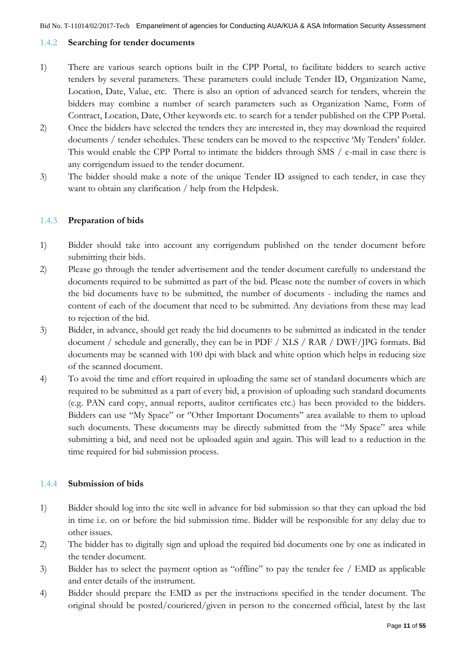## <span id="page-10-0"></span>1.4.2 **Searching for tender documents**

- 1) There are various search options built in the CPP Portal, to facilitate bidders to search active tenders by several parameters. These parameters could include Tender ID, Organization Name, Location, Date, Value, etc. There is also an option of advanced search for tenders, wherein the bidders may combine a number of search parameters such as Organization Name, Form of Contract, Location, Date, Other keywords etc. to search for a tender published on the CPP Portal.
- 2) Once the bidders have selected the tenders they are interested in, they may download the required documents / tender schedules. These tenders can be moved to the respective 'My Tenders' folder. This would enable the CPP Portal to intimate the bidders through SMS / e-mail in case there is any corrigendum issued to the tender document.
- 3) The bidder should make a note of the unique Tender ID assigned to each tender, in case they want to obtain any clarification / help from the Helpdesk.

## <span id="page-10-1"></span>1.4.3 **Preparation of bids**

- 1) Bidder should take into account any corrigendum published on the tender document before submitting their bids.
- 2) Please go through the tender advertisement and the tender document carefully to understand the documents required to be submitted as part of the bid. Please note the number of covers in which the bid documents have to be submitted, the number of documents - including the names and content of each of the document that need to be submitted. Any deviations from these may lead to rejection of the bid.
- 3) Bidder, in advance, should get ready the bid documents to be submitted as indicated in the tender document / schedule and generally, they can be in PDF / XLS / RAR / DWF/JPG formats. Bid documents may be scanned with 100 dpi with black and white option which helps in reducing size of the scanned document.
- 4) To avoid the time and effort required in uploading the same set of standard documents which are required to be submitted as a part of every bid, a provision of uploading such standard documents (e.g. PAN card copy, annual reports, auditor certificates etc.) has been provided to the bidders. Bidders can use "My Space" or "Other Important Documents" area available to them to upload such documents. These documents may be directly submitted from the "My Space" area while submitting a bid, and need not be uploaded again and again. This will lead to a reduction in the time required for bid submission process.

### <span id="page-10-2"></span>1.4.4 **Submission of bids**

- 1) Bidder should log into the site well in advance for bid submission so that they can upload the bid in time i.e. on or before the bid submission time. Bidder will be responsible for any delay due to other issues.
- 2) The bidder has to digitally sign and upload the required bid documents one by one as indicated in the tender document.
- 3) Bidder has to select the payment option as "offline" to pay the tender fee / EMD as applicable and enter details of the instrument.
- 4) Bidder should prepare the EMD as per the instructions specified in the tender document. The original should be posted/couriered/given in person to the concerned official, latest by the last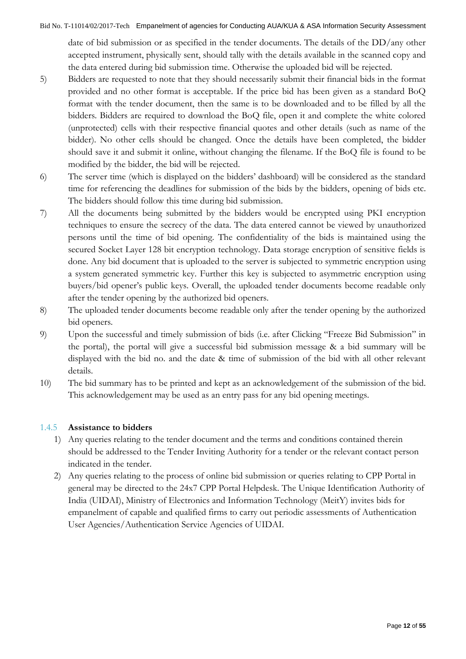date of bid submission or as specified in the tender documents. The details of the DD/any other accepted instrument, physically sent, should tally with the details available in the scanned copy and the data entered during bid submission time. Otherwise the uploaded bid will be rejected.

- 5) Bidders are requested to note that they should necessarily submit their financial bids in the format provided and no other format is acceptable. If the price bid has been given as a standard BoQ format with the tender document, then the same is to be downloaded and to be filled by all the bidders. Bidders are required to download the BoQ file, open it and complete the white colored (unprotected) cells with their respective financial quotes and other details (such as name of the bidder). No other cells should be changed. Once the details have been completed, the bidder should save it and submit it online, without changing the filename. If the BoQ file is found to be modified by the bidder, the bid will be rejected.
- 6) The server time (which is displayed on the bidders" dashboard) will be considered as the standard time for referencing the deadlines for submission of the bids by the bidders, opening of bids etc. The bidders should follow this time during bid submission.
- 7) All the documents being submitted by the bidders would be encrypted using PKI encryption techniques to ensure the secrecy of the data. The data entered cannot be viewed by unauthorized persons until the time of bid opening. The confidentiality of the bids is maintained using the secured Socket Layer 128 bit encryption technology. Data storage encryption of sensitive fields is done. Any bid document that is uploaded to the server is subjected to symmetric encryption using a system generated symmetric key. Further this key is subjected to asymmetric encryption using buyers/bid opener's public keys. Overall, the uploaded tender documents become readable only after the tender opening by the authorized bid openers.
- 8) The uploaded tender documents become readable only after the tender opening by the authorized bid openers.
- 9) Upon the successful and timely submission of bids (i.e. after Clicking "Freeze Bid Submission" in the portal), the portal will give a successful bid submission message & a bid summary will be displayed with the bid no. and the date & time of submission of the bid with all other relevant details.
- 10) The bid summary has to be printed and kept as an acknowledgement of the submission of the bid. This acknowledgement may be used as an entry pass for any bid opening meetings.

## <span id="page-11-0"></span>1.4.5 **Assistance to bidders**

- 1) Any queries relating to the tender document and the terms and conditions contained therein should be addressed to the Tender Inviting Authority for a tender or the relevant contact person indicated in the tender.
- 2) Any queries relating to the process of online bid submission or queries relating to CPP Portal in general may be directed to the 24x7 CPP Portal Helpdesk. The Unique Identification Authority of India (UIDAI), Ministry of Electronics and Information Technology (MeitY) invites bids for empanelment of capable and qualified firms to carry out periodic assessments of Authentication User Agencies/Authentication Service Agencies of UIDAI.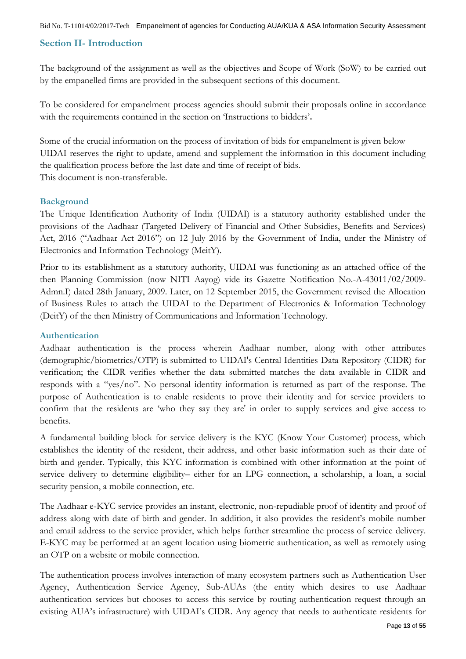## <span id="page-12-0"></span>**Section II- Introduction**

The background of the assignment as well as the objectives and Scope of Work (SoW) to be carried out by the empanelled firms are provided in the subsequent sections of this document.

To be considered for empanelment process agencies should submit their proposals online in accordance with the requirements contained in the section on "Instructions to bidders"**.**

Some of the crucial information on the process of invitation of bids for empanelment is given below UIDAI reserves the right to update, amend and supplement the information in this document including the qualification process before the last date and time of receipt of bids. This document is non-transferable.

### <span id="page-12-1"></span>**Background**

The Unique Identification Authority of India (UIDAI) is a statutory authority established under the provisions of the Aadhaar (Targeted Delivery of Financial and Other Subsidies, Benefits and Services) Act, 2016 ("Aadhaar Act 2016") on 12 July 2016 by the Government of India, under the Ministry of Electronics and Information Technology (MeitY).

Prior to its establishment as a statutory authority, UIDAI was functioning as an attached office of the then Planning Commission (now NITI Aayog) vide its Gazette Notification No.-A-43011/02/2009- Admn.I) dated 28th January, 2009. Later, on 12 September 2015, the Government revised the Allocation of Business Rules to attach the UIDAI to the Department of Electronics & Information Technology (DeitY) of the then Ministry of Communications and Information Technology.

### <span id="page-12-2"></span>**Authentication**

Aadhaar authentication is the process wherein Aadhaar number, along with other attributes (demographic/biometrics/OTP) is submitted to UIDAI's Central Identities Data Repository (CIDR) for verification; the CIDR verifies whether the data submitted matches the data available in CIDR and responds with a "yes/no". No personal identity information is returned as part of the response. The purpose of Authentication is to enable residents to prove their identity and for service providers to confirm that the residents are "who they say they are' in order to supply services and give access to benefits.

A fundamental building block for service delivery is the KYC (Know Your Customer) process, which establishes the identity of the resident, their address, and other basic information such as their date of birth and gender. Typically, this KYC information is combined with other information at the point of service delivery to determine eligibility– either for an LPG connection, a scholarship, a loan, a social security pension, a mobile connection, etc.

The Aadhaar e-KYC service provides an instant, electronic, non-repudiable proof of identity and proof of address along with date of birth and gender. In addition, it also provides the resident's mobile number and email address to the service provider, which helps further streamline the process of service delivery. E-KYC may be performed at an agent location using biometric authentication, as well as remotely using an OTP on a website or mobile connection.

The authentication process involves interaction of many ecosystem partners such as Authentication User Agency, Authentication Service Agency, Sub-AUAs (the entity which desires to use Aadhaar authentication services but chooses to access this service by routing authentication request through an existing AUA's infrastructure) with UIDAI's CIDR. Any agency that needs to authenticate residents for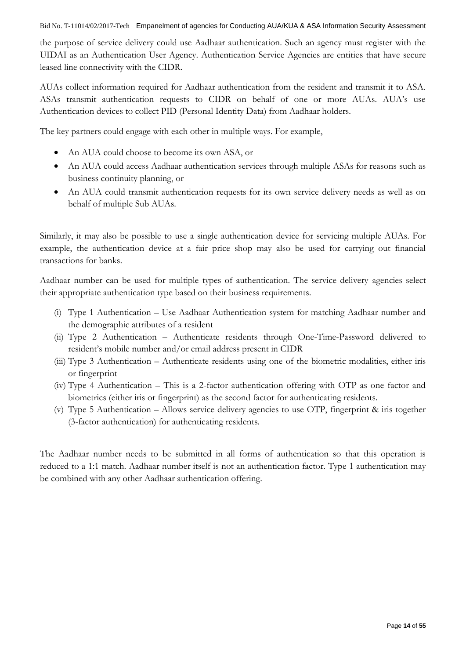the purpose of service delivery could use Aadhaar authentication. Such an agency must register with the UIDAI as an Authentication User Agency. Authentication Service Agencies are entities that have secure leased line connectivity with the CIDR.

AUAs collect information required for Aadhaar authentication from the resident and transmit it to ASA. ASAs transmit authentication requests to CIDR on behalf of one or more AUAs. AUA"s use Authentication devices to collect PID (Personal Identity Data) from Aadhaar holders.

The key partners could engage with each other in multiple ways. For example,

- An AUA could choose to become its own ASA, or
- An AUA could access Aadhaar authentication services through multiple ASAs for reasons such as business continuity planning, or
- An AUA could transmit authentication requests for its own service delivery needs as well as on behalf of multiple Sub AUAs.

Similarly, it may also be possible to use a single authentication device for servicing multiple AUAs. For example, the authentication device at a fair price shop may also be used for carrying out financial transactions for banks.

Aadhaar number can be used for multiple types of authentication. The service delivery agencies select their appropriate authentication type based on their business requirements.

- (i) Type 1 Authentication Use Aadhaar Authentication system for matching Aadhaar number and the demographic attributes of a resident
- (ii) Type 2 Authentication Authenticate residents through One-Time-Password delivered to resident"s mobile number and/or email address present in CIDR
- (iii) Type 3 Authentication Authenticate residents using one of the biometric modalities, either iris or fingerprint
- (iv) Type 4 Authentication This is a 2-factor authentication offering with OTP as one factor and biometrics (either iris or fingerprint) as the second factor for authenticating residents.
- (v) Type 5 Authentication Allows service delivery agencies to use OTP, fingerprint & iris together (3-factor authentication) for authenticating residents.

The Aadhaar number needs to be submitted in all forms of authentication so that this operation is reduced to a 1:1 match. Aadhaar number itself is not an authentication factor. Type 1 authentication may be combined with any other Aadhaar authentication offering.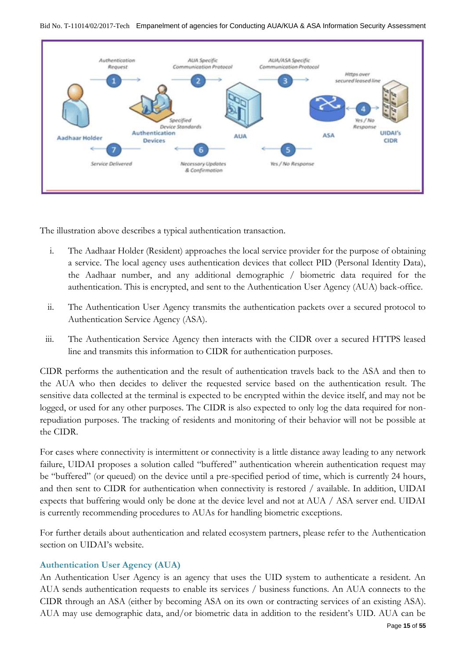

The illustration above describes a typical authentication transaction.

- i. The Aadhaar Holder (Resident) approaches the local service provider for the purpose of obtaining a service. The local agency uses authentication devices that collect PID (Personal Identity Data), the Aadhaar number, and any additional demographic / biometric data required for the authentication. This is encrypted, and sent to the Authentication User Agency (AUA) back-office.
- ii. The Authentication User Agency transmits the authentication packets over a secured protocol to Authentication Service Agency (ASA).
- iii. The Authentication Service Agency then interacts with the CIDR over a secured HTTPS leased line and transmits this information to CIDR for authentication purposes.

CIDR performs the authentication and the result of authentication travels back to the ASA and then to the AUA who then decides to deliver the requested service based on the authentication result. The sensitive data collected at the terminal is expected to be encrypted within the device itself, and may not be logged, or used for any other purposes. The CIDR is also expected to only log the data required for nonrepudiation purposes. The tracking of residents and monitoring of their behavior will not be possible at the CIDR.

For cases where connectivity is intermittent or connectivity is a little distance away leading to any network failure, UIDAI proposes a solution called "buffered" authentication wherein authentication request may be "buffered" (or queued) on the device until a pre-specified period of time, which is currently 24 hours, and then sent to CIDR for authentication when connectivity is restored / available. In addition, UIDAI expects that buffering would only be done at the device level and not at AUA / ASA server end. UIDAI is currently recommending procedures to AUAs for handling biometric exceptions.

For further details about authentication and related ecosystem partners, please refer to the Authentication section on UIDAI's website.

### <span id="page-14-0"></span>**Authentication User Agency (AUA)**

An Authentication User Agency is an agency that uses the UID system to authenticate a resident. An AUA sends authentication requests to enable its services / business functions. An AUA connects to the CIDR through an ASA (either by becoming ASA on its own or contracting services of an existing ASA). AUA may use demographic data, and/or biometric data in addition to the resident"s UID. AUA can be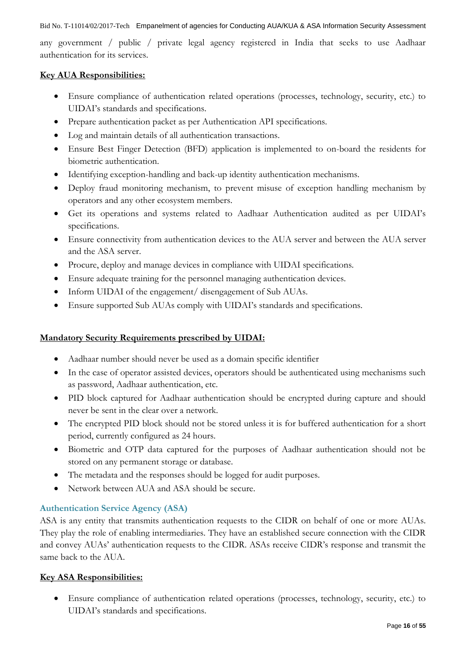any government / public / private legal agency registered in India that seeks to use Aadhaar authentication for its services.

### **Key AUA Responsibilities:**

- Ensure compliance of authentication related operations (processes, technology, security, etc.) to UIDAI"s standards and specifications.
- Prepare authentication packet as per Authentication API specifications.
- Log and maintain details of all authentication transactions.
- Ensure Best Finger Detection (BFD) application is implemented to on-board the residents for biometric authentication.
- Identifying exception-handling and back-up identity authentication mechanisms.
- Deploy fraud monitoring mechanism, to prevent misuse of exception handling mechanism by operators and any other ecosystem members.
- Get its operations and systems related to Aadhaar Authentication audited as per UIDAI"s specifications.
- Ensure connectivity from authentication devices to the AUA server and between the AUA server and the ASA server.
- Procure, deploy and manage devices in compliance with UIDAI specifications.
- Ensure adequate training for the personnel managing authentication devices.
- Inform UIDAI of the engagement/ disengagement of Sub AUAs.
- Ensure supported Sub AUAs comply with UIDAI"s standards and specifications.

## **Mandatory Security Requirements prescribed by UIDAI:**

- Aadhaar number should never be used as a domain specific identifier
- In the case of operator assisted devices, operators should be authenticated using mechanisms such as password, Aadhaar authentication, etc.
- PID block captured for Aadhaar authentication should be encrypted during capture and should never be sent in the clear over a network.
- The encrypted PID block should not be stored unless it is for buffered authentication for a short period, currently configured as 24 hours.
- Biometric and OTP data captured for the purposes of Aadhaar authentication should not be stored on any permanent storage or database.
- The metadata and the responses should be logged for audit purposes.
- Network between AUA and ASA should be secure.

## <span id="page-15-0"></span>**Authentication Service Agency (ASA)**

ASA is any entity that transmits authentication requests to the CIDR on behalf of one or more AUAs. They play the role of enabling intermediaries. They have an established secure connection with the CIDR and convey AUAs" authentication requests to the CIDR. ASAs receive CIDR"s response and transmit the same back to the AUA.

## **Key ASA Responsibilities:**

 Ensure compliance of authentication related operations (processes, technology, security, etc.) to UIDAI"s standards and specifications.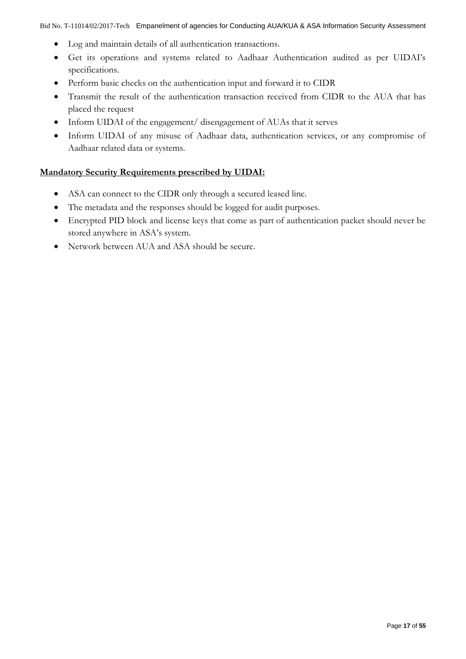- Log and maintain details of all authentication transactions.
- Get its operations and systems related to Aadhaar Authentication audited as per UIDAI"s specifications.
- Perform basic checks on the authentication input and forward it to CIDR
- Transmit the result of the authentication transaction received from CIDR to the AUA that has placed the request
- Inform UIDAI of the engagement/ disengagement of AUAs that it serves
- Inform UIDAI of any misuse of Aadhaar data, authentication services, or any compromise of Aadhaar related data or systems.

### **Mandatory Security Requirements prescribed by UIDAI:**

- ASA can connect to the CIDR only through a secured leased line.
- The metadata and the responses should be logged for audit purposes.
- Encrypted PID block and license keys that come as part of authentication packet should never be stored anywhere in ASA"s system.
- Network between AUA and ASA should be secure.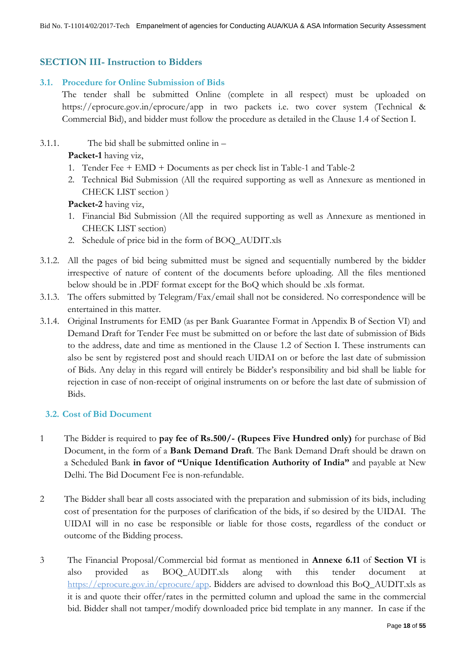## <span id="page-17-0"></span>**SECTION III- Instruction to Bidders**

## **3.1. Procedure for Online Submission of Bids**

<span id="page-17-1"></span>The tender shall be submitted Online (complete in all respect) must be uploaded on https://eprocure.gov.in/eprocure/app in two packets i.e. two cover system (Technical & Commercial Bid), and bidder must follow the procedure as detailed in the Clause 1.4 of Section I.

3.1.1. The bid shall be submitted online in –

**Packet-1** having viz,

- 1. Tender Fee + EMD + Documents as per check list in Table-1 and Table-2
- 2. Technical Bid Submission (All the required supporting as well as Annexure as mentioned in CHECK LIST section )

**Packet-2** having viz,

- 1. Financial Bid Submission (All the required supporting as well as Annexure as mentioned in CHECK LIST section)
- 2. Schedule of price bid in the form of BOQ\_AUDIT.xls
- 3.1.2. All the pages of bid being submitted must be signed and sequentially numbered by the bidder irrespective of nature of content of the documents before uploading. All the files mentioned below should be in .PDF format except for the BoQ which should be .xls format.
- 3.1.3. The offers submitted by Telegram/Fax/email shall not be considered. No correspondence will be entertained in this matter.
- 3.1.4. Original Instruments for EMD (as per Bank Guarantee Format in Appendix B of Section VI) and Demand Draft for Tender Fee must be submitted on or before the last date of submission of Bids to the address, date and time as mentioned in the Clause 1.2 of Section I. These instruments can also be sent by registered post and should reach UIDAI on or before the last date of submission of Bids. Any delay in this regard will entirely be Bidder"s responsibility and bid shall be liable for rejection in case of non-receipt of original instruments on or before the last date of submission of Bids.

### <span id="page-17-2"></span>**3.2. Cost of Bid Document**

- 1 The Bidder is required to **pay fee of Rs.500/- (Rupees Five Hundred only)** for purchase of Bid Document, in the form of a **Bank Demand Draft**. The Bank Demand Draft should be drawn on a Scheduled Bank **in favor of "Unique Identification Authority of India"** and payable at New Delhi. The Bid Document Fee is non-refundable.
- 2 The Bidder shall bear all costs associated with the preparation and submission of its bids, including cost of presentation for the purposes of clarification of the bids, if so desired by the UIDAI. The UIDAI will in no case be responsible or liable for those costs, regardless of the conduct or outcome of the Bidding process.
- 3 The Financial Proposal/Commercial bid format as mentioned in **Annexe 6.11** of **Section VI** is also provided as BOQ\_AUDIT.xls along with this tender document at https://eprocure.gov.in/eprocure/app. Bidders are advised to download this BoQ\_AUDIT.xls as it is and quote their offer/rates in the permitted column and upload the same in the commercial bid. Bidder shall not tamper/modify downloaded price bid template in any manner. In case if the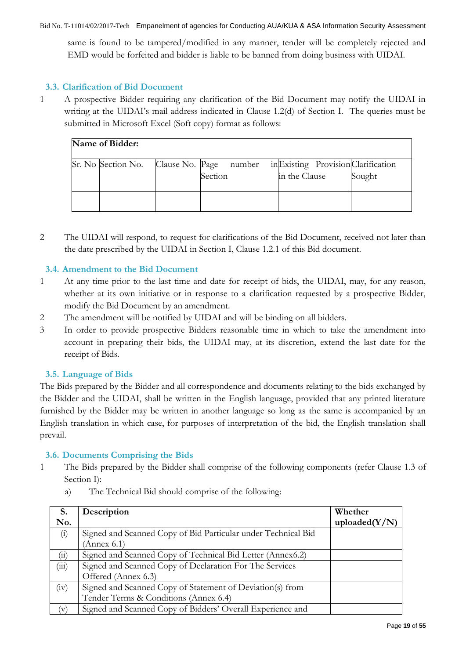same is found to be tampered/modified in any manner, tender will be completely rejected and EMD would be forfeited and bidder is liable to be banned from doing business with UIDAI.

## <span id="page-18-0"></span>**3.3. Clarification of Bid Document**

1 A prospective Bidder requiring any clarification of the Bid Document may notify the UIDAI in writing at the UIDAI's mail address indicated in Clause 1.2(d) of Section I. The queries must be submitted in Microsoft Excel (Soft copy) format as follows:

| Name of Bidder: |                    |  |                                   |                                                      |        |
|-----------------|--------------------|--|-----------------------------------|------------------------------------------------------|--------|
|                 | Sr. No Section No. |  | Clause No. Page number<br>Section | in Existing Provision Clarification<br>in the Clause | Sought |
|                 |                    |  |                                   |                                                      |        |

2 The UIDAI will respond, to request for clarifications of the Bid Document, received not later than the date prescribed by the UIDAI in Section I, Clause 1.2.1 of this Bid document.

## <span id="page-18-1"></span>**3.4. Amendment to the Bid Document**

- 1 At any time prior to the last time and date for receipt of bids, the UIDAI, may, for any reason, whether at its own initiative or in response to a clarification requested by a prospective Bidder, modify the Bid Document by an amendment.
- 2 The amendment will be notified by UIDAI and will be binding on all bidders.
- 3 In order to provide prospective Bidders reasonable time in which to take the amendment into account in preparing their bids, the UIDAI may, at its discretion, extend the last date for the receipt of Bids.

### <span id="page-18-2"></span>**3.5. Language of Bids**

The Bids prepared by the Bidder and all correspondence and documents relating to the bids exchanged by the Bidder and the UIDAI, shall be written in the English language, provided that any printed literature furnished by the Bidder may be written in another language so long as the same is accompanied by an English translation in which case, for purposes of interpretation of the bid, the English translation shall prevail.

### <span id="page-18-3"></span>**3.6. Documents Comprising the Bids**

- 1 The Bids prepared by the Bidder shall comprise of the following components (refer Clause 1.3 of Section I):
	- a) The Technical Bid should comprise of the following:

| S.    | Description                                                   | Whether          |
|-------|---------------------------------------------------------------|------------------|
| No.   |                                                               | uploaded $(Y/N)$ |
| (i)   | Signed and Scanned Copy of Bid Particular under Technical Bid |                  |
|       | (Annex 6.1)                                                   |                  |
| (ii)  | Signed and Scanned Copy of Technical Bid Letter (Annex6.2)    |                  |
| (iii) | Signed and Scanned Copy of Declaration For The Services       |                  |
|       | Offered (Annex 6.3)                                           |                  |
| (iv)  | Signed and Scanned Copy of Statement of Deviation(s) from     |                  |
|       | Tender Terms & Conditions (Annex 6.4)                         |                  |
| (v)   | Signed and Scanned Copy of Bidders' Overall Experience and    |                  |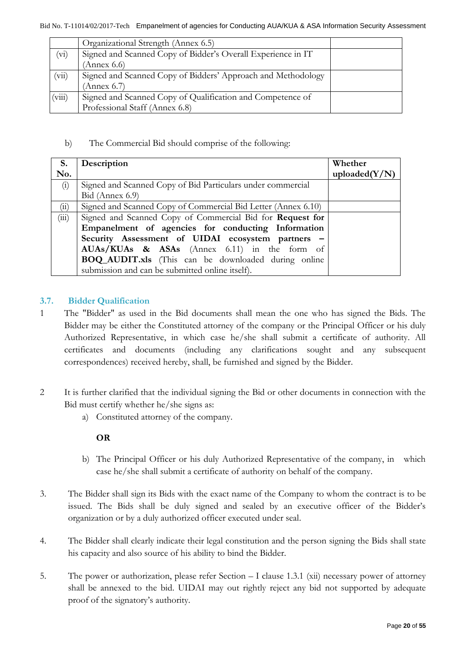|         | Organizational Strength (Annex 6.5)                          |  |
|---------|--------------------------------------------------------------|--|
| $(v_i)$ | Signed and Scanned Copy of Bidder's Overall Experience in IT |  |
|         | Annex $6.6$                                                  |  |
| (vii)   | Signed and Scanned Copy of Bidders' Approach and Methodology |  |
|         | $'$ Annex 6.7)                                               |  |
| (viii)  | Signed and Scanned Copy of Qualification and Competence of   |  |
|         | Professional Staff (Annex 6.8)                               |  |

b) The Commercial Bid should comprise of the following:

| S.    | Description                                                   | Whether          |
|-------|---------------------------------------------------------------|------------------|
| No.   |                                                               | uploaded $(Y/N)$ |
| (i)   | Signed and Scanned Copy of Bid Particulars under commercial   |                  |
|       | Bid (Annex 6.9)                                               |                  |
| (11)  | Signed and Scanned Copy of Commercial Bid Letter (Annex 6.10) |                  |
| (iii) | Signed and Scanned Copy of Commercial Bid for Request for     |                  |
|       | Empanelment of agencies for conducting Information            |                  |
|       | Security Assessment of UIDAI ecosystem partners -             |                  |
|       | AUAs/KUAs & ASAs (Annex 6.11) in the form of                  |                  |
|       | <b>BOQ_AUDIT.xls</b> (This can be downloaded during online    |                  |
|       | submission and can be submitted online itself).               |                  |

## <span id="page-19-0"></span>**3.7. Bidder Qualification**

- 1 The "Bidder" as used in the Bid documents shall mean the one who has signed the Bids. The Bidder may be either the Constituted attorney of the company or the Principal Officer or his duly Authorized Representative, in which case he/she shall submit a certificate of authority. All certificates and documents (including any clarifications sought and any subsequent correspondences) received hereby, shall, be furnished and signed by the Bidder.
- 2 It is further clarified that the individual signing the Bid or other documents in connection with the Bid must certify whether he/she signs as:
	- a) Constituted attorney of the company.

### **OR**

- b) The Principal Officer or his duly Authorized Representative of the company, in which case he/she shall submit a certificate of authority on behalf of the company.
- 3. The Bidder shall sign its Bids with the exact name of the Company to whom the contract is to be issued. The Bids shall be duly signed and sealed by an executive officer of the Bidder's organization or by a duly authorized officer executed under seal.
- 4. The Bidder shall clearly indicate their legal constitution and the person signing the Bids shall state his capacity and also source of his ability to bind the Bidder.
- 5. The power or authorization, please refer Section I clause 1.3.1 (xii) necessary power of attorney shall be annexed to the bid. UIDAI may out rightly reject any bid not supported by adequate proof of the signatory"s authority.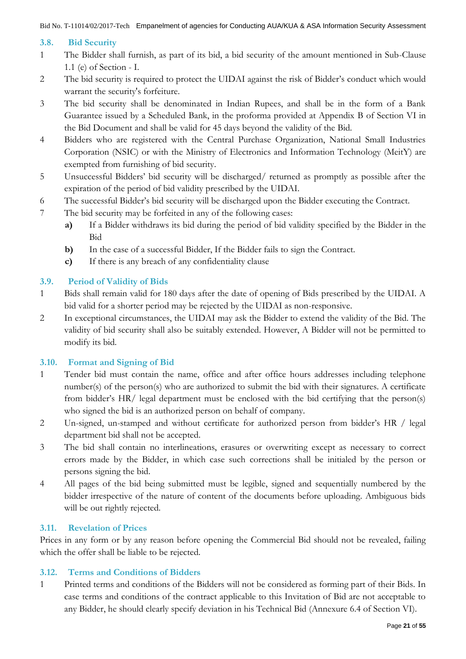## <span id="page-20-0"></span>**3.8. Bid Security**

- 1 The Bidder shall furnish, as part of its bid, a bid security of the amount mentioned in Sub-Clause 1.1 (e) of Section - I.
- 2 The bid security is required to protect the UIDAI against the risk of Bidder"s conduct which would warrant the security's forfeiture.
- 3 The bid security shall be denominated in Indian Rupees, and shall be in the form of a Bank Guarantee issued by a Scheduled Bank, in the proforma provided at Appendix B of Section VI in the Bid Document and shall be valid for 45 days beyond the validity of the Bid.
- 4 Bidders who are registered with the Central Purchase Organization, National Small Industries Corporation (NSIC) or with the Ministry of Electronics and Information Technology (MeitY) are exempted from furnishing of bid security.
- 5 Unsuccessful Bidders" bid security will be discharged/ returned as promptly as possible after the expiration of the period of bid validity prescribed by the UIDAI.
- 6 The successful Bidder"s bid security will be discharged upon the Bidder executing the Contract.
- 7 The bid security may be forfeited in any of the following cases:
	- **a)** If a Bidder withdraws its bid during the period of bid validity specified by the Bidder in the Bid
	- **b)** In the case of a successful Bidder, If the Bidder fails to sign the Contract.
	- **c)** If there is any breach of any confidentiality clause

## <span id="page-20-1"></span>**3.9. Period of Validity of Bids**

- 1 Bids shall remain valid for 180 days after the date of opening of Bids prescribed by the UIDAI. A bid valid for a shorter period may be rejected by the UIDAI as non-responsive.
- 2 In exceptional circumstances, the UIDAI may ask the Bidder to extend the validity of the Bid. The validity of bid security shall also be suitably extended. However, A Bidder will not be permitted to modify its bid.

## <span id="page-20-2"></span>**3.10. Format and Signing of Bid**

- 1 Tender bid must contain the name, office and after office hours addresses including telephone number(s) of the person(s) who are authorized to submit the bid with their signatures. A certificate from bidder's HR/ legal department must be enclosed with the bid certifying that the person(s) who signed the bid is an authorized person on behalf of company.
- 2 Un-signed, un-stamped and without certificate for authorized person from bidder's HR / legal department bid shall not be accepted.
- 3 The bid shall contain no interlineations, erasures or overwriting except as necessary to correct errors made by the Bidder, in which case such corrections shall be initialed by the person or persons signing the bid.
- 4 All pages of the bid being submitted must be legible, signed and sequentially numbered by the bidder irrespective of the nature of content of the documents before uploading. Ambiguous bids will be out rightly rejected.

## <span id="page-20-3"></span>**3.11. Revelation of Prices**

Prices in any form or by any reason before opening the Commercial Bid should not be revealed, failing which the offer shall be liable to be rejected.

## <span id="page-20-4"></span>**3.12. Terms and Conditions of Bidders**

1 Printed terms and conditions of the Bidders will not be considered as forming part of their Bids. In case terms and conditions of the contract applicable to this Invitation of Bid are not acceptable to any Bidder, he should clearly specify deviation in his Technical Bid (Annexure 6.4 of Section VI).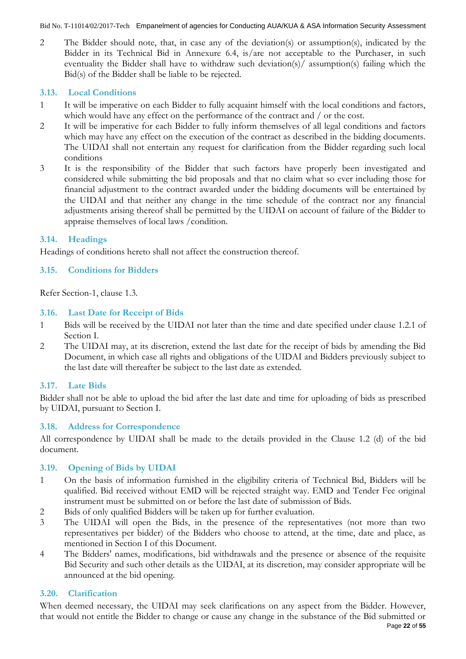2 The Bidder should note, that, in case any of the deviation(s) or assumption(s), indicated by the Bidder in its Technical Bid in Annexure 6.4, is/are not acceptable to the Purchaser, in such eventuality the Bidder shall have to withdraw such deviation(s)/ assumption(s) failing which the Bid(s) of the Bidder shall be liable to be rejected.

## <span id="page-21-0"></span>**3.13. Local Conditions**

- 1 It will be imperative on each Bidder to fully acquaint himself with the local conditions and factors, which would have any effect on the performance of the contract and / or the cost.
- 2 It will be imperative for each Bidder to fully inform themselves of all legal conditions and factors which may have any effect on the execution of the contract as described in the bidding documents. The UIDAI shall not entertain any request for clarification from the Bidder regarding such local conditions
- 3 It is the responsibility of the Bidder that such factors have properly been investigated and considered while submitting the bid proposals and that no claim what so ever including those for financial adjustment to the contract awarded under the bidding documents will be entertained by the UIDAI and that neither any change in the time schedule of the contract nor any financial adjustments arising thereof shall be permitted by the UIDAI on account of failure of the Bidder to appraise themselves of local laws /condition.

## <span id="page-21-1"></span>**3.14. Headings**

Headings of conditions hereto shall not affect the construction thereof.

## <span id="page-21-2"></span>**3.15. Conditions for Bidders**

Refer Section-1, clause 1.3.

### <span id="page-21-3"></span>**3.16. Last Date for Receipt of Bids**

- 1 Bids will be received by the UIDAI not later than the time and date specified under clause 1.2.1 of Section I.
- 2 The UIDAI may, at its discretion, extend the last date for the receipt of bids by amending the Bid Document, in which case all rights and obligations of the UIDAI and Bidders previously subject to the last date will thereafter be subject to the last date as extended.

## <span id="page-21-4"></span>**3.17. Late Bids**

Bidder shall not be able to upload the bid after the last date and time for uploading of bids as prescribed by UIDAI, pursuant to Section I.

### <span id="page-21-5"></span>**3.18. Address for Correspondence**

All correspondence by UIDAI shall be made to the details provided in the Clause 1.2 (d) of the bid document.

### <span id="page-21-6"></span>**3.19. Opening of Bids by UIDAI**

- 1 On the basis of information furnished in the eligibility criteria of Technical Bid, Bidders will be qualified. Bid received without EMD will be rejected straight way. EMD and Tender Fee original instrument must be submitted on or before the last date of submission of Bids.
- 2 Bids of only qualified Bidders will be taken up for further evaluation.
- 3 The UIDAI will open the Bids, in the presence of the representatives (not more than two representatives per bidder) of the Bidders who choose to attend, at the time, date and place, as mentioned in Section I of this Document.
- 4 The Bidders' names, modifications, bid withdrawals and the presence or absence of the requisite Bid Security and such other details as the UIDAI, at its discretion, may consider appropriate will be announced at the bid opening.

### <span id="page-21-7"></span>**3.20. Clarification**

When deemed necessary, the UIDAI may seek clarifications on any aspect from the Bidder. However, that would not entitle the Bidder to change or cause any change in the substance of the Bid submitted or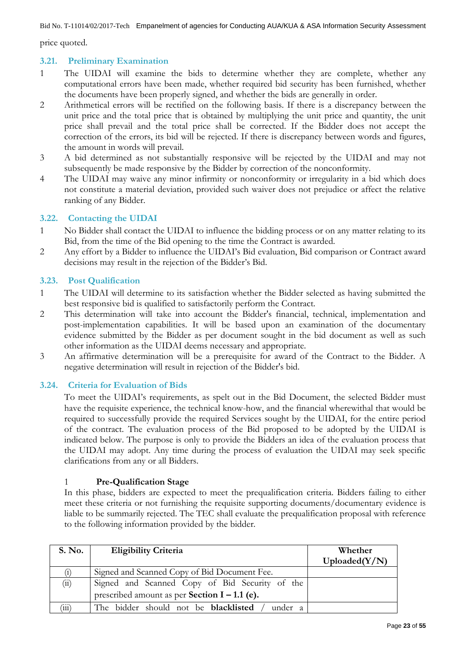price quoted.

## <span id="page-22-0"></span>**3.21. Preliminary Examination**

- 1 The UIDAI will examine the bids to determine whether they are complete, whether any computational errors have been made, whether required bid security has been furnished, whether the documents have been properly signed, and whether the bids are generally in order.
- 2 Arithmetical errors will be rectified on the following basis. If there is a discrepancy between the unit price and the total price that is obtained by multiplying the unit price and quantity, the unit price shall prevail and the total price shall be corrected. If the Bidder does not accept the correction of the errors, its bid will be rejected. If there is discrepancy between words and figures, the amount in words will prevail.
- 3 A bid determined as not substantially responsive will be rejected by the UIDAI and may not subsequently be made responsive by the Bidder by correction of the nonconformity.
- 4 The UIDAI may waive any minor infirmity or nonconformity or irregularity in a bid which does not constitute a material deviation, provided such waiver does not prejudice or affect the relative ranking of any Bidder.

### <span id="page-22-1"></span>**3.22. Contacting the UIDAI**

- 1 No Bidder shall contact the UIDAI to influence the bidding process or on any matter relating to its Bid, from the time of the Bid opening to the time the Contract is awarded.
- 2 Any effort by a Bidder to influence the UIDAI"s Bid evaluation, Bid comparison or Contract award decisions may result in the rejection of the Bidder"s Bid.

### <span id="page-22-2"></span>**3.23. Post Qualification**

- 1 The UIDAI will determine to its satisfaction whether the Bidder selected as having submitted the best responsive bid is qualified to satisfactorily perform the Contract.
- 2 This determination will take into account the Bidder's financial, technical, implementation and post-implementation capabilities. It will be based upon an examination of the documentary evidence submitted by the Bidder as per document sought in the bid document as well as such other information as the UIDAI deems necessary and appropriate.
- 3 An affirmative determination will be a prerequisite for award of the Contract to the Bidder. A negative determination will result in rejection of the Bidder's bid.

### <span id="page-22-3"></span>**3.24. Criteria for Evaluation of Bids**

To meet the UIDAI's requirements, as spelt out in the Bid Document, the selected Bidder must have the requisite experience, the technical know-how, and the financial wherewithal that would be required to successfully provide the required Services sought by the UIDAI, for the entire period of the contract. The evaluation process of the Bid proposed to be adopted by the UIDAI is indicated below. The purpose is only to provide the Bidders an idea of the evaluation process that the UIDAI may adopt. Any time during the process of evaluation the UIDAI may seek specific clarifications from any or all Bidders.

### 1 **Pre-Qualification Stage**

In this phase, bidders are expected to meet the prequalification criteria. Bidders failing to either meet these criteria or not furnishing the requisite supporting documents/documentary evidence is liable to be summarily rejected. The TEC shall evaluate the prequalification proposal with reference to the following information provided by the bidder.

| <b>S. No.</b> | <b>Eligibility Criteria</b>                            | Whether<br>Uploaded(Y/N) |
|---------------|--------------------------------------------------------|--------------------------|
|               | Signed and Scanned Copy of Bid Document Fee.           |                          |
| (ii)          | Signed and Scanned Copy of Bid Security of the         |                          |
|               | prescribed amount as per Section $I - 1.1$ (e).        |                          |
| 111           | The bidder should not be <b>blacklisted</b><br>under a |                          |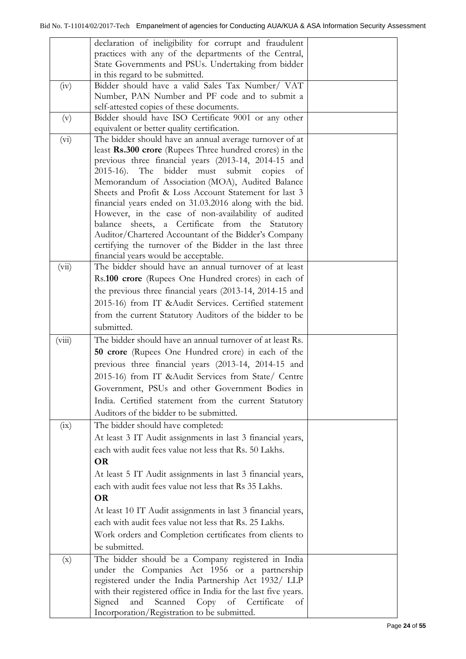|                           | declaration of ineligibility for corrupt and fraudulent        |  |
|---------------------------|----------------------------------------------------------------|--|
|                           | practices with any of the departments of the Central,          |  |
|                           | State Governments and PSUs. Undertaking from bidder            |  |
|                           | in this regard to be submitted.                                |  |
| (iv)                      | Bidder should have a valid Sales Tax Number/ VAT               |  |
|                           | Number, PAN Number and PF code and to submit a                 |  |
|                           | self-attested copies of these documents.                       |  |
| (v)                       | Bidder should have ISO Certificate 9001 or any other           |  |
|                           | equivalent or better quality certification.                    |  |
| (vi)                      | The bidder should have an annual average turnover of at        |  |
|                           | least Rs.300 crore (Rupees Three hundred crores) in the        |  |
|                           | previous three financial years (2013-14, 2014-15 and           |  |
|                           | 2015-16). The bidder must submit copies<br>- of                |  |
|                           | Memorandum of Association (MOA), Audited Balance               |  |
|                           | Sheets and Profit & Loss Account Statement for last 3          |  |
|                           | financial years ended on 31.03.2016 along with the bid.        |  |
|                           | However, in the case of non-availability of audited            |  |
|                           | balance sheets, a Certificate from the Statutory               |  |
|                           | Auditor/Chartered Accountant of the Bidder's Company           |  |
|                           | certifying the turnover of the Bidder in the last three        |  |
|                           | financial years would be acceptable.                           |  |
| (vii)                     | The bidder should have an annual turnover of at least          |  |
|                           | Rs.100 crore (Rupees One Hundred crores) in each of            |  |
|                           | the previous three financial years (2013-14, 2014-15 and       |  |
|                           |                                                                |  |
|                           | 2015-16) from IT & Audit Services. Certified statement         |  |
|                           | from the current Statutory Auditors of the bidder to be        |  |
|                           | submitted.                                                     |  |
| (viii)                    | The bidder should have an annual turnover of at least Rs.      |  |
|                           | 50 crore (Rupees One Hundred crore) in each of the             |  |
|                           | previous three financial years (2013-14, 2014-15 and           |  |
|                           | 2015-16) from IT & Audit Services from State/ Centre           |  |
|                           | Government, PSUs and other Government Bodies in                |  |
|                           | India. Certified statement from the current Statutory          |  |
|                           |                                                                |  |
|                           | Auditors of the bidder to be submitted.                        |  |
| (ix)                      | The bidder should have completed:                              |  |
|                           | At least 3 IT Audit assignments in last 3 financial years,     |  |
|                           | each with audit fees value not less that Rs. 50 Lakhs.         |  |
|                           | <b>OR</b>                                                      |  |
|                           | At least 5 IT Audit assignments in last 3 financial years,     |  |
|                           | each with audit fees value not less that Rs 35 Lakhs.          |  |
|                           | <b>OR</b>                                                      |  |
|                           |                                                                |  |
|                           |                                                                |  |
|                           | At least 10 IT Audit assignments in last 3 financial years,    |  |
|                           | each with audit fees value not less that Rs. 25 Lakhs.         |  |
|                           | Work orders and Completion certificates from clients to        |  |
|                           | be submitted.                                                  |  |
| $\left(\mathrm{x}\right)$ | The bidder should be a Company registered in India             |  |
|                           | under the Companies Act 1956 or a partnership                  |  |
|                           | registered under the India Partnership Act 1932/ LLP           |  |
|                           | with their registered office in India for the last five years. |  |
|                           | Signed<br>and<br>Scanned<br>Copy of Certificate<br>οf          |  |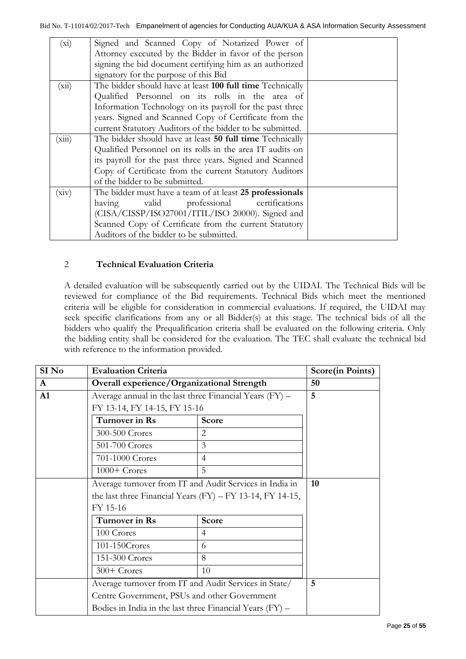| $(x_i)$ | Signed and Scanned Copy of Notarized Power of             |  |
|---------|-----------------------------------------------------------|--|
|         | Attorney executed by the Bidder in favor of the person    |  |
|         | signing the bid document certifying him as an authorized  |  |
|         | signatory for the purpose of this Bid                     |  |
| (xii)   | The bidder should have at least 100 full time Technically |  |
|         | Qualified Personnel on its rolls in the area of           |  |
|         | Information Technology on its payroll for the past three  |  |
|         | years. Signed and Scanned Copy of Certificate from the    |  |
|         | current Statutory Auditors of the bidder to be submitted. |  |
| (xiii)  | The bidder should have at least 50 full time Technically  |  |
|         | Qualified Personnel on its rolls in the area IT audits on |  |
|         | its payroll for the past three years. Signed and Scanned  |  |
|         | Copy of Certificate from the current Statutory Auditors   |  |
|         | of the bidder to be submitted.                            |  |
| (xiv)   | The bidder must have a team of at least 25 professionals  |  |
|         | valid professional certifications<br>having               |  |
|         | (CISA/CISSP/ISO27001/ITIL/ISO 20000). Signed and          |  |
|         | Scanned Copy of Certificate from the current Statutory    |  |
|         | Auditors of the bidder to be submitted.                   |  |
|         |                                                           |  |

## 2 **Technical Evaluation Criteria**

A detailed evaluation will be subsequently carried out by the UIDAI. The Technical Bids will be reviewed for compliance of the Bid requirements. Technical Bids which meet the mentioned criteria will be eligible for consideration in commercial evaluations. If required, the UIDAI may seek specific clarifications from any or all Bidder(s) at this stage. The technical bids of all the bidders who qualify the Prequalification criteria shall be evaluated on the following criteria. Only the bidding entity shall be considered for the evaluation. The TEC shall evaluate the technical bid with reference to the information provided.

| SI No | <b>Evaluation Criteria</b>                                      |                                                          | <b>Score(in Points)</b> |
|-------|-----------------------------------------------------------------|----------------------------------------------------------|-------------------------|
| A     | Overall experience/Organizational Strength                      | 50                                                       |                         |
| A1    | Average annual in the last three Financial Years (FY) -         |                                                          | 5                       |
|       | FY 13-14, FY 14-15, FY 15-16                                    |                                                          |                         |
|       | Turnover in Rs<br>Score                                         |                                                          |                         |
|       | 300-500 Crores                                                  | 2                                                        |                         |
|       | 501-700 Crores                                                  | 3                                                        |                         |
|       | 701-1000 Crores                                                 | $\overline{4}$                                           |                         |
|       | $1000+$ Crores                                                  | 5                                                        |                         |
|       | Average turnover from IT and Audit Services in India in         |                                                          | 10                      |
|       | the last three Financial Years $(FY)$ – $FY$ 13-14, $FY$ 14-15, |                                                          |                         |
|       | FY 15-16                                                        |                                                          |                         |
|       | Turnover in Rs<br>Score                                         |                                                          |                         |
|       | 100 Crores                                                      | $\overline{4}$                                           |                         |
|       | 101-150Crores                                                   | 6                                                        |                         |
|       | 151-300 Crores                                                  | 8                                                        |                         |
|       | 300+ Crores                                                     | 10                                                       |                         |
|       | Average turnover from IT and Audit Services in State/           |                                                          | 5                       |
|       | Centre Government, PSUs and other Government                    |                                                          |                         |
|       |                                                                 | Bodies in India in the last three Financial Years (FY) – |                         |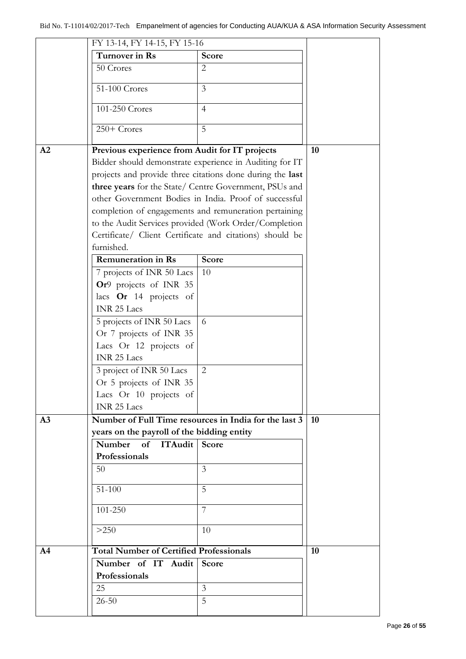|                | FY 13-14, FY 14-15, FY 15-16                   |                                                           |    |
|----------------|------------------------------------------------|-----------------------------------------------------------|----|
|                | Turnover in Rs                                 | <b>Score</b>                                              |    |
|                | 50 Crores                                      | 2                                                         |    |
|                | 51-100 Crores                                  | $\overline{3}$                                            |    |
|                | 101-250 Crores                                 | $\overline{4}$                                            |    |
|                | $250+$ Crores                                  | 5                                                         |    |
| A2             | Previous experience from Audit for IT projects |                                                           | 10 |
|                |                                                | Bidder should demonstrate experience in Auditing for IT   |    |
|                |                                                | projects and provide three citations done during the last |    |
|                |                                                | three years for the State/ Centre Government, PSUs and    |    |
|                |                                                | other Government Bodies in India. Proof of successful     |    |
|                |                                                | completion of engagements and remuneration pertaining     |    |
|                |                                                | to the Audit Services provided (Work Order/Completion     |    |
|                |                                                | Certificate/ Client Certificate and citations) should be  |    |
|                | furnished.                                     |                                                           |    |
|                | <b>Remuneration in Rs</b>                      | <b>Score</b>                                              |    |
|                | 7 projects of INR 50 Lacs                      | 10                                                        |    |
|                | Or9 projects of INR 35                         |                                                           |    |
|                | lacs Or 14 projects of                         |                                                           |    |
|                | <b>INR 25 Lacs</b>                             |                                                           |    |
|                | 5 projects of INR 50 Lacs                      | 6                                                         |    |
|                | Or 7 projects of INR 35                        |                                                           |    |
|                | Lacs Or 12 projects of                         |                                                           |    |
|                | <b>INR 25 Lacs</b>                             |                                                           |    |
|                | 3 project of INR 50 Lacs                       | $\overline{2}$                                            |    |
|                | Or 5 projects of INR 35                        |                                                           |    |
|                | Lacs Or 10 projects of                         |                                                           |    |
|                | <b>INR 25 Lacs</b>                             |                                                           |    |
| A <sub>3</sub> |                                                | Number of Full Time resources in India for the last 3     | 10 |
|                | years on the payroll of the bidding entity     |                                                           |    |
|                | Number<br>of ITAudit Score                     |                                                           |    |
|                | Professionals                                  |                                                           |    |
|                | 50                                             | 3                                                         |    |
|                | $51 - 100$                                     | 5                                                         |    |
|                | 101-250                                        | 7                                                         |    |
|                | >250                                           | 10                                                        |    |
| A <sub>4</sub> | <b>Total Number of Certified Professionals</b> |                                                           | 10 |
|                | Number of IT Audit                             | <b>Score</b>                                              |    |
|                | Professionals                                  |                                                           |    |
|                | 25                                             | 3                                                         |    |
|                | $26 - 50$                                      | 5                                                         |    |
|                |                                                |                                                           |    |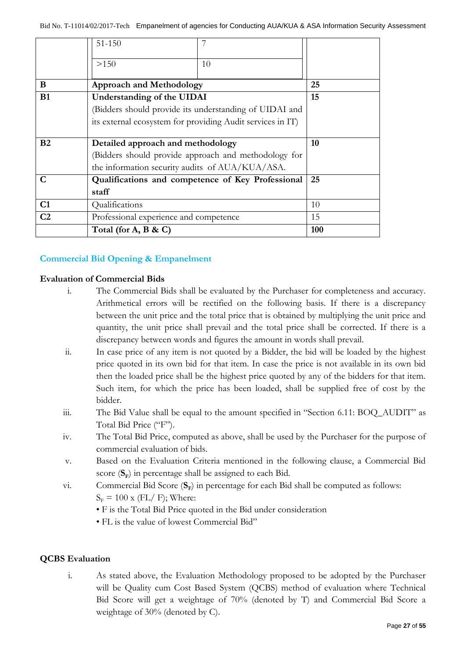|                | $51 - 150$                                                 |                                                        |    |
|----------------|------------------------------------------------------------|--------------------------------------------------------|----|
|                | >150                                                       | 10                                                     |    |
|                |                                                            |                                                        |    |
| B              | <b>Approach and Methodology</b>                            |                                                        | 25 |
| <b>B1</b>      | Understanding of the UIDAI                                 |                                                        | 15 |
|                |                                                            | (Bidders should provide its understanding of UIDAI and |    |
|                | its external ecosystem for providing Audit services in IT) |                                                        |    |
|                |                                                            |                                                        |    |
|                |                                                            |                                                        |    |
| B <sub>2</sub> | Detailed approach and methodology                          |                                                        | 10 |
|                |                                                            | (Bidders should provide approach and methodology for   |    |
|                | the information security audits of AUA/KUA/ASA.            |                                                        |    |
| $\mathbf C$    |                                                            | Qualifications and competence of Key Professional      | 25 |
|                | staff                                                      |                                                        |    |
| C1             | Qualifications                                             |                                                        | 10 |
| C <sub>2</sub> | Professional experience and competence                     |                                                        | 15 |

## **Commercial Bid Opening & Empanelment**

### **Evaluation of Commercial Bids**

- i. The Commercial Bids shall be evaluated by the Purchaser for completeness and accuracy. Arithmetical errors will be rectified on the following basis. If there is a discrepancy between the unit price and the total price that is obtained by multiplying the unit price and quantity, the unit price shall prevail and the total price shall be corrected. If there is a discrepancy between words and figures the amount in words shall prevail.
- ii. In case price of any item is not quoted by a Bidder, the bid will be loaded by the highest price quoted in its own bid for that item. In case the price is not available in its own bid then the loaded price shall be the highest price quoted by any of the bidders for that item. Such item, for which the price has been loaded, shall be supplied free of cost by the bidder.
- iii. The Bid Value shall be equal to the amount specified in "Section 6.11: BOQ\_AUDIT" as Total Bid Price ("F").
- iv. The Total Bid Price, computed as above, shall be used by the Purchaser for the purpose of commercial evaluation of bids.
- v. Based on the Evaluation Criteria mentioned in the following clause, a Commercial Bid score ( $S$ <sub>F</sub>) in percentage shall be assigned to each Bid.
- vi. Commercial Bid Score ( $S$ <sub>E</sub>) in percentage for each Bid shall be computed as follows:  $S_F = 100$  x (FL/ F); Where:
	- F is the Total Bid Price quoted in the Bid under consideration
	- FL is the value of lowest Commercial Bid"

### **QCBS Evaluation**

i. As stated above, the Evaluation Methodology proposed to be adopted by the Purchaser will be Quality cum Cost Based System (QCBS) method of evaluation where Technical Bid Score will get a weightage of 70% (denoted by T) and Commercial Bid Score a weightage of 30% (denoted by C).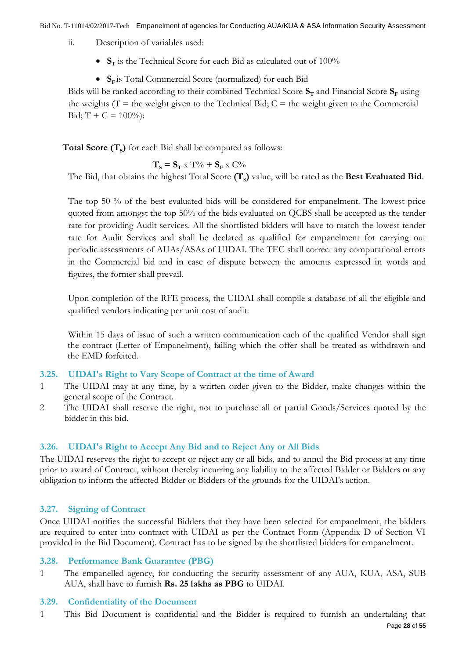- ii. Description of variables used:
	- $S_T$  is the Technical Score for each Bid as calculated out of 100%
	- **S<sup>F</sup>** is Total Commercial Score (normalized) for each Bid

Bids will be ranked according to their combined Technical Score  $S_T$  and Financial Score  $S_F$  using the weights ( $T =$  the weight given to the Technical Bid;  $C =$  the weight given to the Commercial Bid;  $T + C = 100\%$ :

 $\textbf{Total Score} \left(\textbf{T}_\text{s}\right)$  for each Bid shall be computed as follows:

$$
\mathbf{T}_\mathbf{S} \equiv \mathbf{S}_\mathbf{T} \ge \mathrm{T}\% + \mathbf{S}_\mathbf{F} \ge \mathrm{C}\%
$$

The Bid, that obtains the highest Total Score **(T<sup>S</sup> )** value, will be rated as the **Best Evaluated Bid**.

The top 50 % of the best evaluated bids will be considered for empanelment. The lowest price quoted from amongst the top 50% of the bids evaluated on QCBS shall be accepted as the tender rate for providing Audit services. All the shortlisted bidders will have to match the lowest tender rate for Audit Services and shall be declared as qualified for empanelment for carrying out periodic assessments of AUAs/ASAs of UIDAI. The TEC shall correct any computational errors in the Commercial bid and in case of dispute between the amounts expressed in words and figures, the former shall prevail.

Upon completion of the RFE process, the UIDAI shall compile a database of all the eligible and qualified vendors indicating per unit cost of audit.

Within 15 days of issue of such a written communication each of the qualified Vendor shall sign the contract (Letter of Empanelment), failing which the offer shall be treated as withdrawn and the EMD forfeited.

### <span id="page-27-0"></span>**3.25. UIDAI's Right to Vary Scope of Contract at the time of Award**

- 1 The UIDAI may at any time, by a written order given to the Bidder, make changes within the general scope of the Contract.
- 2 The UIDAI shall reserve the right, not to purchase all or partial Goods/Services quoted by the bidder in this bid.

## <span id="page-27-1"></span>**3.26. UIDAI's Right to Accept Any Bid and to Reject Any or All Bids**

The UIDAI reserves the right to accept or reject any or all bids, and to annul the Bid process at any time prior to award of Contract, without thereby incurring any liability to the affected Bidder or Bidders or any obligation to inform the affected Bidder or Bidders of the grounds for the UIDAI's action.

## <span id="page-27-2"></span>**3.27. Signing of Contract**

Once UIDAI notifies the successful Bidders that they have been selected for empanelment, the bidders are required to enter into contract with UIDAI as per the Contract Form (Appendix D of Section VI provided in the Bid Document). Contract has to be signed by the shortlisted bidders for empanelment.

### <span id="page-27-3"></span>**3.28. Performance Bank Guarantee (PBG)**

1 The empanelled agency, for conducting the security assessment of any AUA, KUA, ASA, SUB AUA, shall have to furnish **Rs. 25 lakhs as PBG** to UIDAI.

### <span id="page-27-4"></span>**3.29. Confidentiality of the Document**

1 This Bid Document is confidential and the Bidder is required to furnish an undertaking that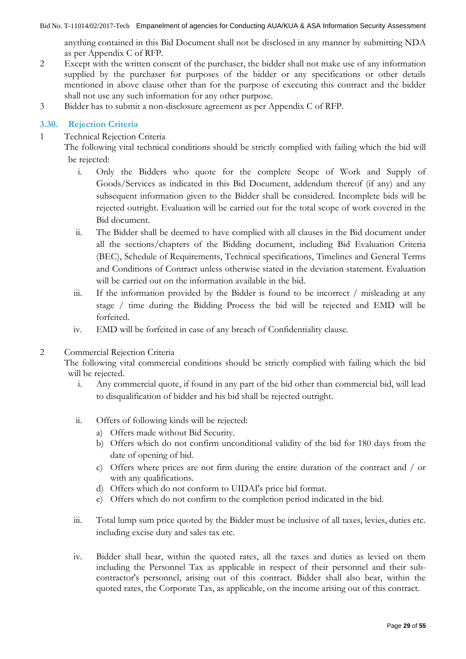anything contained in this Bid Document shall not be disclosed in any manner by submitting NDA as per Appendix C of RFP.

- 2 Except with the written consent of the purchaser, the bidder shall not make use of any information supplied by the purchaser for purposes of the bidder or any specifications or other details mentioned in above clause other than for the purpose of executing this contract and the bidder shall not use any such information for any other purpose.
- 3 Bidder has to submit a non-disclosure agreement as per Appendix C of RFP.

## <span id="page-28-0"></span>**3.30. Rejection Criteria**

1 Technical Rejection Criteria

The following vital technical conditions should be strictly complied with failing which the bid will be rejected:

- i. Only the Bidders who quote for the complete Scope of Work and Supply of Goods/Services as indicated in this Bid Document, addendum thereof (if any) and any subsequent information given to the Bidder shall be considered. Incomplete bids will be rejected outright. Evaluation will be carried out for the total scope of work covered in the Bid document.
- ii. The Bidder shall be deemed to have complied with all clauses in the Bid document under all the sections/chapters of the Bidding document, including Bid Evaluation Criteria (BEC), Schedule of Requirements, Technical specifications, Timelines and General Terms and Conditions of Contract unless otherwise stated in the deviation statement. Evaluation will be carried out on the information available in the bid.
- iii. If the information provided by the Bidder is found to be incorrect / misleading at any stage / time during the Bidding Process the bid will be rejected and EMD will be forfeited.
- iv. EMD will be forfeited in case of any breach of Confidentiality clause.
- 2 Commercial Rejection Criteria

The following vital commercial conditions should be strictly complied with failing which the bid will be rejected.

- i. Any commercial quote, if found in any part of the bid other than commercial bid, will lead to disqualification of bidder and his bid shall be rejected outright.
- ii. Offers of following kinds will be rejected:
	- a) Offers made without Bid Security.
	- b) Offers which do not confirm unconditional validity of the bid for 180 days from the date of opening of bid.
	- c) Offers where prices are not firm during the entire duration of the contract and / or with any qualifications.
	- d) Offers which do not conform to UIDAI's price bid format.
	- e) Offers which do not confirm to the completion period indicated in the bid.
- iii. Total lump sum price quoted by the Bidder must be inclusive of all taxes, levies, duties etc. including excise duty and sales tax etc.
- iv. Bidder shall bear, within the quoted rates, all the taxes and duties as levied on them including the Personnel Tax as applicable in respect of their personnel and their subcontractor's personnel, arising out of this contract. Bidder shall also bear, within the quoted rates, the Corporate Tax, as applicable, on the income arising out of this contract.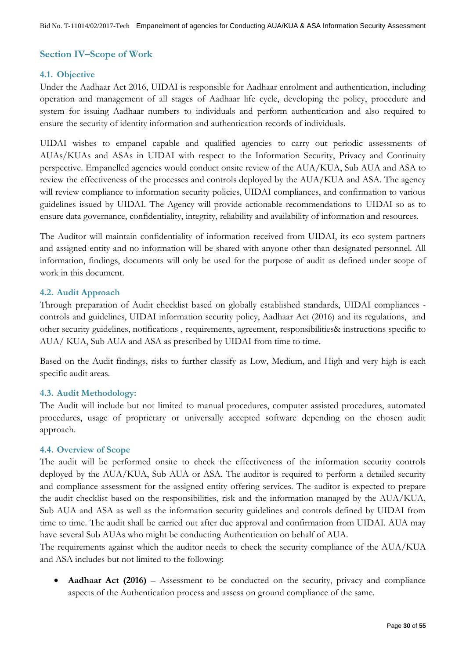## <span id="page-29-0"></span>**Section IV–Scope of Work**

### <span id="page-29-1"></span>**4.1. Objective**

Under the Aadhaar Act 2016, UIDAI is responsible for Aadhaar enrolment and authentication, including operation and management of all stages of Aadhaar life cycle, developing the policy, procedure and system for issuing Aadhaar numbers to individuals and perform authentication and also required to ensure the security of identity information and authentication records of individuals.

UIDAI wishes to empanel capable and qualified agencies to carry out periodic assessments of AUAs/KUAs and ASAs in UIDAI with respect to the Information Security, Privacy and Continuity perspective. Empanelled agencies would conduct onsite review of the AUA/KUA, Sub AUA and ASA to review the effectiveness of the processes and controls deployed by the AUA/KUA and ASA. The agency will review compliance to information security policies, UIDAI compliances, and confirmation to various guidelines issued by UIDAI. The Agency will provide actionable recommendations to UIDAI so as to ensure data governance, confidentiality, integrity, reliability and availability of information and resources.

The Auditor will maintain confidentiality of information received from UIDAI, its eco system partners and assigned entity and no information will be shared with anyone other than designated personnel. All information, findings, documents will only be used for the purpose of audit as defined under scope of work in this document.

## <span id="page-29-2"></span>**4.2. Audit Approach**

Through preparation of Audit checklist based on globally established standards, UIDAI compliances controls and guidelines, UIDAI information security policy, Aadhaar Act (2016) and its regulations, and other security guidelines, notifications , requirements, agreement, responsibilities& instructions specific to AUA/ KUA, Sub AUA and ASA as prescribed by UIDAI from time to time.

Based on the Audit findings, risks to further classify as Low, Medium, and High and very high is each specific audit areas.

### <span id="page-29-3"></span>**4.3. Audit Methodology:**

The Audit will include but not limited to manual procedures, computer assisted procedures, automated procedures, usage of proprietary or universally accepted software depending on the chosen audit approach.

### <span id="page-29-4"></span>**4.4. Overview of Scope**

The audit will be performed onsite to check the effectiveness of the information security controls deployed by the AUA/KUA, Sub AUA or ASA. The auditor is required to perform a detailed security and compliance assessment for the assigned entity offering services. The auditor is expected to prepare the audit checklist based on the responsibilities, risk and the information managed by the AUA/KUA, Sub AUA and ASA as well as the information security guidelines and controls defined by UIDAI from time to time. The audit shall be carried out after due approval and confirmation from UIDAI. AUA may have several Sub AUAs who might be conducting Authentication on behalf of AUA.

The requirements against which the auditor needs to check the security compliance of the AUA/KUA and ASA includes but not limited to the following:

• **Aadhaar Act (2016)** – Assessment to be conducted on the security, privacy and compliance aspects of the Authentication process and assess on ground compliance of the same.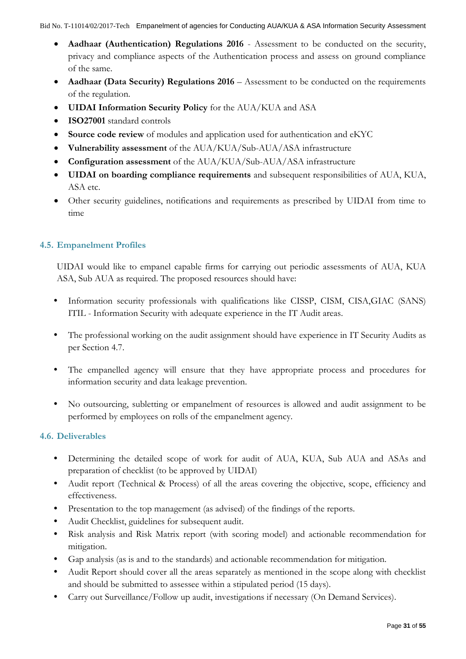- **Aadhaar (Authentication) Regulations 2016** Assessment to be conducted on the security, privacy and compliance aspects of the Authentication process and assess on ground compliance of the same.
- Aadhaar (Data Security) Regulations 2016 Assessment to be conducted on the requirements of the regulation.
- **UIDAI Information Security Policy** for the AUA/KUA and ASA
- **ISO27001** standard controls
- **Source code review** of modules and application used for authentication and eKYC
- **Vulnerability assessment** of the AUA/KUA/Sub-AUA/ASA infrastructure
- **Configuration assessment** of the AUA/KUA/Sub-AUA/ASA infrastructure
- **UIDAI on boarding compliance requirements** and subsequent responsibilities of AUA, KUA, ASA etc.
- Other security guidelines, notifications and requirements as prescribed by UIDAI from time to time

## <span id="page-30-0"></span>**4.5. Empanelment Profiles**

UIDAI would like to empanel capable firms for carrying out periodic assessments of AUA, KUA ASA, Sub AUA as required. The proposed resources should have:

- **•** Information security professionals with qualifications like CISSP, CISM, CISA,GIAC (SANS) ITIL - Information Security with adequate experience in the IT Audit areas.
- **•** The professional working on the audit assignment should have experience in IT Security Audits as per Section 4.7.
- The empanelled agency will ensure that they have appropriate process and procedures for information security and data leakage prevention.
- **•** No outsourcing, subletting or empanelment of resources is allowed and audit assignment to be performed by employees on rolls of the empanelment agency.

## <span id="page-30-1"></span>**4.6. Deliverables**

- **•** Determining the detailed scope of work for audit of AUA, KUA, Sub AUA and ASAs and preparation of checklist (to be approved by UIDAI)
- **•** Audit report (Technical & Process) of all the areas covering the objective, scope, efficiency and effectiveness.
- **•** Presentation to the top management (as advised) of the findings of the reports.
- **•** Audit Checklist, guidelines for subsequent audit.
- **•** Risk analysis and Risk Matrix report (with scoring model) and actionable recommendation for mitigation.
- **•** Gap analysis (as is and to the standards) and actionable recommendation for mitigation.
- **•** Audit Report should cover all the areas separately as mentioned in the scope along with checklist and should be submitted to assessee within a stipulated period (15 days).
- **•** Carry out Surveillance/Follow up audit, investigations if necessary (On Demand Services).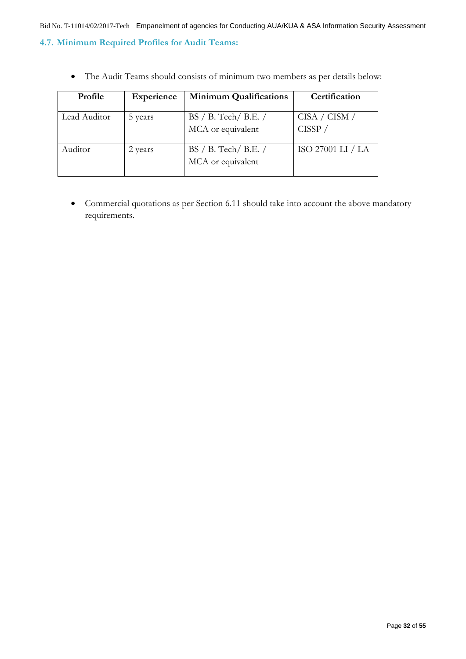## <span id="page-31-0"></span>**4.7. Minimum Required Profiles for Audit Teams:**

The Audit Teams should consists of minimum two members as per details below:

| <b>Profile</b> | Experience | <b>Minimum Qualifications</b>               | Certification              |
|----------------|------------|---------------------------------------------|----------------------------|
| Lead Auditor   | 5 years    | $BS / B$ . Tech/B.E. /<br>MCA or equivalent | CISA / CISM /<br>$CISSP$ / |
| Auditor        | 2 years    | $BS / B$ . Tech/B.E. /<br>MCA or equivalent | ISO 27001 LI / LA          |

 Commercial quotations as per Section 6.11 should take into account the above mandatory requirements.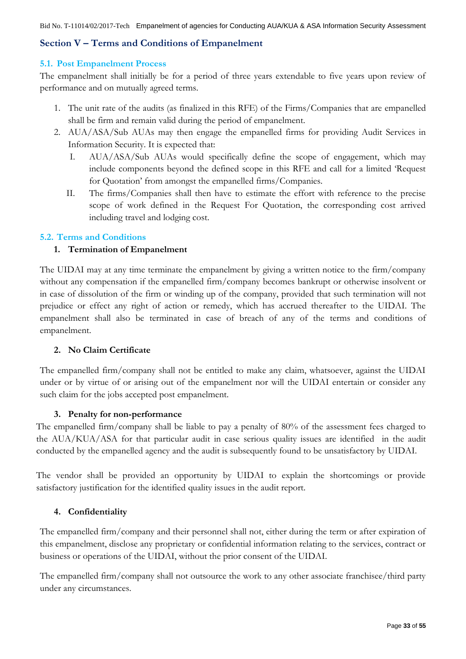## <span id="page-32-0"></span>**Section V – Terms and Conditions of Empanelment**

#### <span id="page-32-1"></span>**5.1. Post Empanelment Process**

The empanelment shall initially be for a period of three years extendable to five years upon review of performance and on mutually agreed terms.

- 1. The unit rate of the audits (as finalized in this RFE) of the Firms/Companies that are empanelled shall be firm and remain valid during the period of empanelment.
- 2. AUA/ASA/Sub AUAs may then engage the empanelled firms for providing Audit Services in Information Security. It is expected that:
	- I. AUA/ASA/Sub AUAs would specifically define the scope of engagement, which may include components beyond the defined scope in this RFE and call for a limited "Request for Quotation" from amongst the empanelled firms/Companies.
	- II. The firms/Companies shall then have to estimate the effort with reference to the precise scope of work defined in the Request For Quotation, the corresponding cost arrived including travel and lodging cost.

#### <span id="page-32-2"></span>**5.2. Terms and Conditions**

### **1. Termination of Empanelment**

The UIDAI may at any time terminate the empanelment by giving a written notice to the firm/company without any compensation if the empanelled firm/company becomes bankrupt or otherwise insolvent or in case of dissolution of the firm or winding up of the company, provided that such termination will not prejudice or effect any right of action or remedy, which has accrued thereafter to the UIDAI. The empanelment shall also be terminated in case of breach of any of the terms and conditions of empanelment.

### **2. No Claim Certificate**

The empanelled firm/company shall not be entitled to make any claim, whatsoever, against the UIDAI under or by virtue of or arising out of the empanelment nor will the UIDAI entertain or consider any such claim for the jobs accepted post empanelment.

#### **3. Penalty for non-performance**

The empanelled firm/company shall be liable to pay a penalty of 80% of the assessment fees charged to the AUA/KUA/ASA for that particular audit in case serious quality issues are identified in the audit conducted by the empanelled agency and the audit is subsequently found to be unsatisfactory by UIDAI.

The vendor shall be provided an opportunity by UIDAI to explain the shortcomings or provide satisfactory justification for the identified quality issues in the audit report.

### **4. Confidentiality**

The empanelled firm/company and their personnel shall not, either during the term or after expiration of this empanelment, disclose any proprietary or confidential information relating to the services, contract or business or operations of the UIDAI, without the prior consent of the UIDAI.

The empanelled firm/company shall not outsource the work to any other associate franchisee/third party under any circumstances.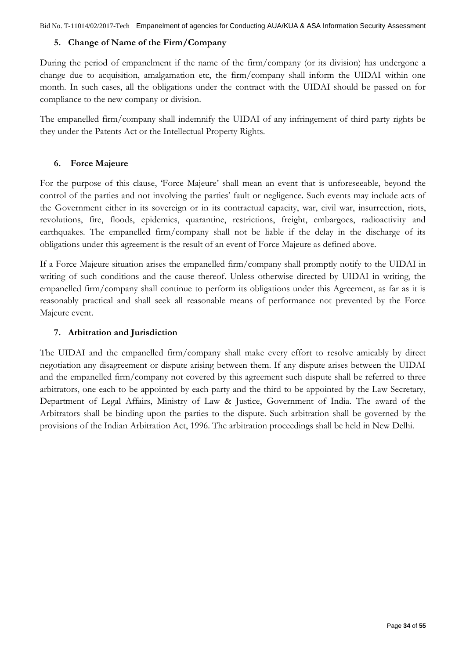## **5. Change of Name of the Firm/Company**

During the period of empanelment if the name of the firm/company (or its division) has undergone a change due to acquisition, amalgamation etc, the firm/company shall inform the UIDAI within one month. In such cases, all the obligations under the contract with the UIDAI should be passed on for compliance to the new company or division.

The empanelled firm/company shall indemnify the UIDAI of any infringement of third party rights be they under the Patents Act or the Intellectual Property Rights.

## **6. Force Majeure**

For the purpose of this clause, "Force Majeure" shall mean an event that is unforeseeable, beyond the control of the parties and not involving the parties' fault or negligence. Such events may include acts of the Government either in its sovereign or in its contractual capacity, war, civil war, insurrection, riots, revolutions, fire, floods, epidemics, quarantine, restrictions, freight, embargoes, radioactivity and earthquakes. The empanelled firm/company shall not be liable if the delay in the discharge of its obligations under this agreement is the result of an event of Force Majeure as defined above.

If a Force Majeure situation arises the empanelled firm/company shall promptly notify to the UIDAI in writing of such conditions and the cause thereof. Unless otherwise directed by UIDAI in writing, the empanelled firm/company shall continue to perform its obligations under this Agreement, as far as it is reasonably practical and shall seek all reasonable means of performance not prevented by the Force Majeure event.

## **7. Arbitration and Jurisdiction**

The UIDAI and the empanelled firm/company shall make every effort to resolve amicably by direct negotiation any disagreement or dispute arising between them. If any dispute arises between the UIDAI and the empanelled firm/company not covered by this agreement such dispute shall be referred to three arbitrators, one each to be appointed by each party and the third to be appointed by the Law Secretary, Department of Legal Affairs, Ministry of Law & Justice, Government of India. The award of the Arbitrators shall be binding upon the parties to the dispute. Such arbitration shall be governed by the provisions of the Indian Arbitration Act, 1996. The arbitration proceedings shall be held in New Delhi.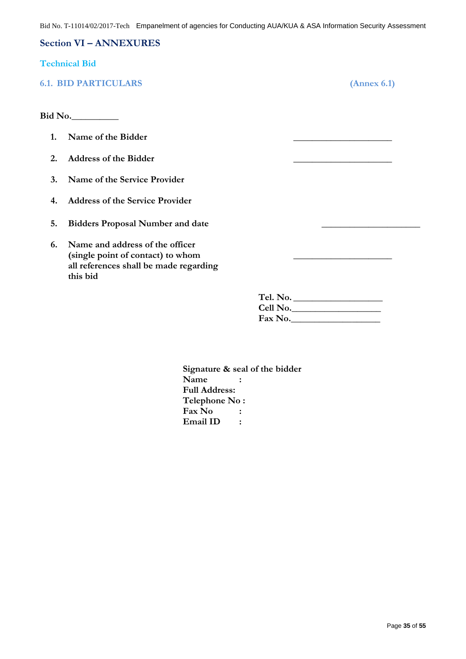#### <span id="page-34-0"></span>**Section VI – ANNEXURES**

#### <span id="page-34-1"></span>**Technical Bid**

## <span id="page-34-2"></span>**6.1. BID PARTICULARS (Annex 6.1)**

**Bid No.\_\_\_\_\_\_\_\_\_\_**

- **1. Name of the Bidder \_\_\_\_\_\_\_\_\_\_\_\_\_\_\_\_\_\_\_\_\_**
- **2. Address of the Bidder \_\_\_\_\_\_\_\_\_\_\_\_\_\_\_\_\_\_\_\_\_**
- **3. Name of the Service Provider**
- **4. Address of the Service Provider**
- **5. Bidders Proposal Number and date \_\_\_\_\_\_\_\_\_\_\_\_\_\_\_\_\_\_\_\_\_**
- **6. Name and address of the officer (single point of contact) to whom \_\_\_\_\_\_\_\_\_\_\_\_\_\_\_\_\_\_\_\_\_ all references shall be made regarding this bid**

**Tel. No. \_\_\_\_\_\_\_\_\_\_\_\_\_\_\_\_\_\_\_ Cell No.\_\_\_\_\_\_\_\_\_\_\_\_\_\_\_\_\_\_\_ Fax No.\_\_\_\_\_\_\_\_\_\_\_\_\_\_\_\_\_\_\_**

**Signature & seal of the bidder Name : Full Address: Telephone No : Fax No : Email ID :**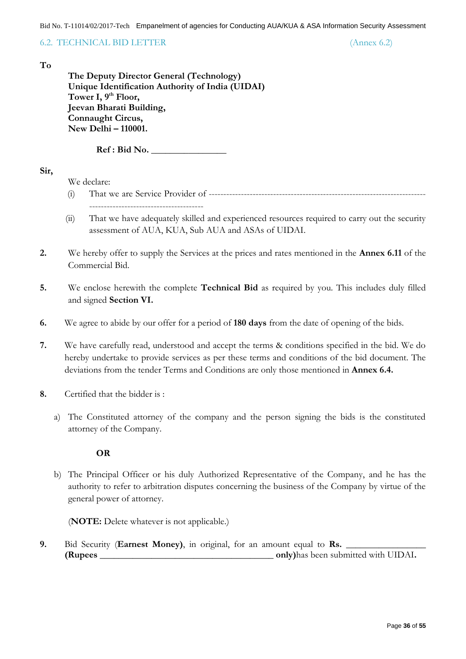<span id="page-35-0"></span>6.2. TECHNICAL BID LETTER (Annex 6.2)

#### **To**

**The Deputy Director General (Technology) Unique Identification Authority of India (UIDAI) Tower I, 9th Floor, Jeevan Bharati Building, Connaught Circus, New Delhi – 110001.**

**Ref : Bid No. \_\_\_\_\_\_\_\_\_\_\_\_\_\_\_\_**

#### **Sir,**

We declare:

- (i) That we are Service Provider of -------------------------------------------------------------------------- ---------------------------------------
- (ii) That we have adequately skilled and experienced resources required to carry out the security assessment of AUA, KUA, Sub AUA and ASAs of UIDAI.
- **2.** We hereby offer to supply the Services at the prices and rates mentioned in the **Annex 6.11** of the Commercial Bid.
- **5.** We enclose herewith the complete **Technical Bid** as required by you. This includes duly filled and signed **Section VI.**
- **6.** We agree to abide by our offer for a period of **180 days** from the date of opening of the bids.
- **7.** We have carefully read, understood and accept the terms & conditions specified in the bid. We do hereby undertake to provide services as per these terms and conditions of the bid document. The deviations from the tender Terms and Conditions are only those mentioned in **Annex 6.4.**
- **8.** Certified that the bidder is :
	- a) The Constituted attorney of the company and the person signing the bids is the constituted attorney of the Company.

#### **OR**

b) The Principal Officer or his duly Authorized Representative of the Company, and he has the authority to refer to arbitration disputes concerning the business of the Company by virtue of the general power of attorney.

(**NOTE:** Delete whatever is not applicable.)

**9.** Bid Security (Earnest Money), in original, for an amount equal to Rs. **(Rupees \_\_\_\_\_\_\_\_\_\_\_\_\_\_\_\_\_\_\_\_\_\_\_\_\_\_\_\_\_\_\_\_\_\_\_\_\_ only)**has been submitted with UIDAI**.**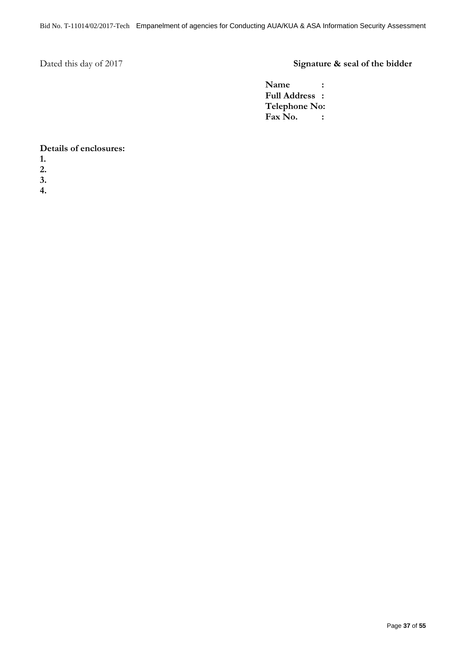# Dated this day of 2017 **Signature & seal of the bidder**

**Name : Full Address : Telephone No: Fax No. :**

#### **Details of enclosures:**

- **1.**
- **2.**
- **3.**
- **4.**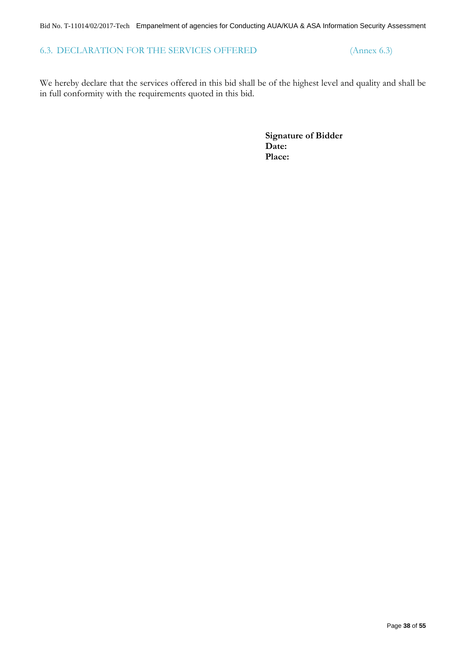## <span id="page-37-0"></span>6.3. DECLARATION FOR THE SERVICES OFFERED (Annex 6.3)

We hereby declare that the services offered in this bid shall be of the highest level and quality and shall be in full conformity with the requirements quoted in this bid.

> **Signature of Bidder Date: Place:**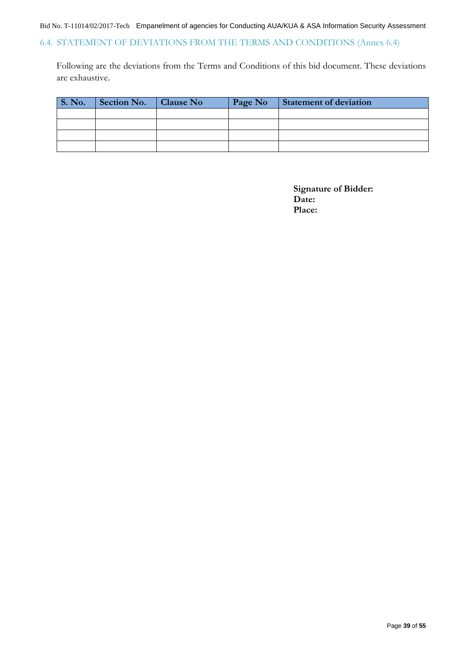## <span id="page-38-0"></span>6.4. STATEMENT OF DEVIATIONS FROM THE TERMS AND CONDITIONS (Annex 6.4)

Following are the deviations from the Terms and Conditions of this bid document. These deviations are exhaustive.

| <b>S. No.</b> | Section No. | <b>Clause No</b> | Page No | <b>Statement of deviation</b> |
|---------------|-------------|------------------|---------|-------------------------------|
|               |             |                  |         |                               |
|               |             |                  |         |                               |
|               |             |                  |         |                               |
|               |             |                  |         |                               |

**Signature of Bidder: Date: Place:**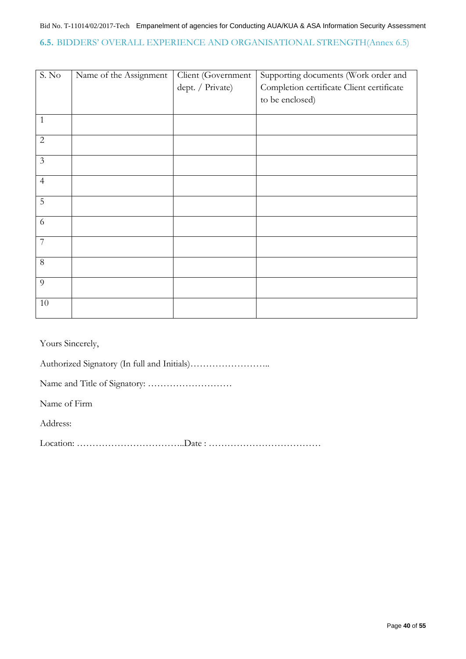### <span id="page-39-0"></span>**6.5.** BIDDERS" OVERALL EXPERIENCE AND ORGANISATIONAL STRENGTH(Annex 6.5)

| S. No          | Name of the Assignment | Client (Government | Supporting documents (Work order and      |
|----------------|------------------------|--------------------|-------------------------------------------|
|                |                        | dept. / Private)   | Completion certificate Client certificate |
|                |                        |                    | to be enclosed)                           |
|                |                        |                    |                                           |
| $\mathbf{1}$   |                        |                    |                                           |
| $\sqrt{2}$     |                        |                    |                                           |
| $\mathfrak{Z}$ |                        |                    |                                           |
| $\overline{4}$ |                        |                    |                                           |
| 5              |                        |                    |                                           |
| 6              |                        |                    |                                           |
| $\overline{7}$ |                        |                    |                                           |
| $8\,$          |                        |                    |                                           |
| 9              |                        |                    |                                           |
| 10             |                        |                    |                                           |

Yours Sincerely,

Authorized Signatory (In full and Initials)……………………..

Name and Title of Signatory: ………………………

Name of Firm

Address:

Location: ……………………………..Date : ………………………………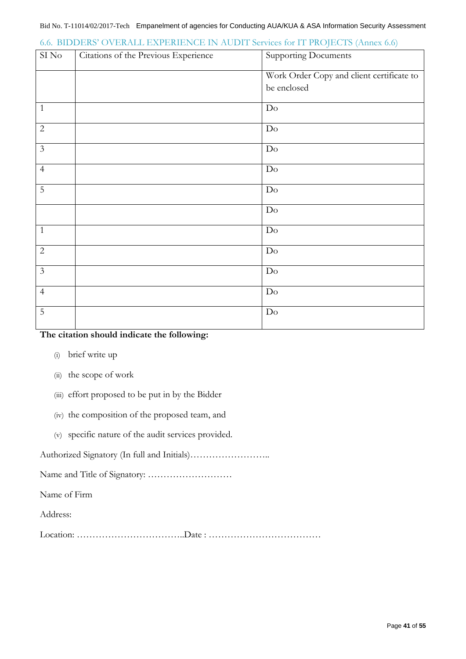| $\mathrm{SI}\,\mathrm{No}$ | Citations of the Previous Experience | <b>Supporting Documents</b>               |
|----------------------------|--------------------------------------|-------------------------------------------|
|                            |                                      | Work Order Copy and client certificate to |
|                            |                                      | be enclosed                               |
| $\mathbf{1}$               |                                      | $Do$                                      |
| $\overline{2}$             |                                      | $\mathrm{Do}$                             |
| $\mathfrak{Z}$             |                                      | $\mathrm{Do}$                             |
| $\overline{4}$             |                                      | Do                                        |
| $\overline{5}$             |                                      | $\mathrm{Do}$                             |
|                            |                                      | Do                                        |
| $\mathbf{1}$               |                                      | Do                                        |
| $\overline{2}$             |                                      | $\mathrm{Do}$                             |
| $\mathfrak{Z}$             |                                      | Do                                        |
| $\overline{4}$             |                                      | Do                                        |
| 5                          |                                      | Do                                        |

## <span id="page-40-0"></span>6.6. BIDDERS" OVERALL EXPERIENCE IN AUDIT Services for IT PROJECTS (Annex 6.6)

### **The citation should indicate the following:**

- (i) brief write up
- (ii) the scope of work
- (iii) effort proposed to be put in by the Bidder
- (iv) the composition of the proposed team, and
- (v) specific nature of the audit services provided.

Authorized Signatory (In full and Initials)……………………..

Name and Title of Signatory: ………………………

Name of Firm

Address:

Location: ……………………………..Date : ………………………………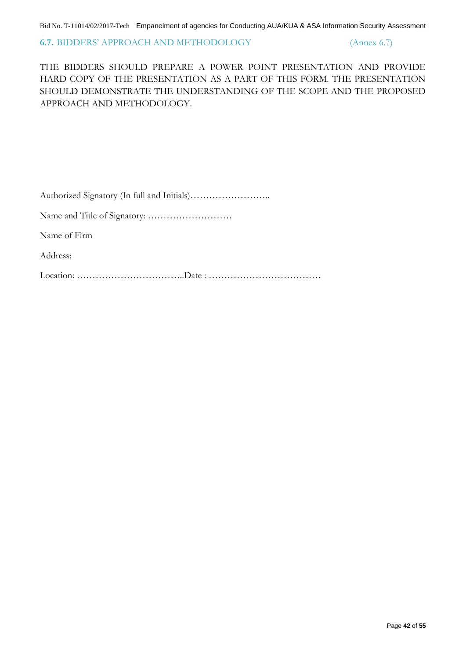#### <span id="page-41-0"></span>**6.7.** BIDDERS" APPROACH AND METHODOLOGY (Annex 6.7)

THE BIDDERS SHOULD PREPARE A POWER POINT PRESENTATION AND PROVIDE HARD COPY OF THE PRESENTATION AS A PART OF THIS FORM. THE PRESENTATION SHOULD DEMONSTRATE THE UNDERSTANDING OF THE SCOPE AND THE PROPOSED APPROACH AND METHODOLOGY.

|--|--|

Name and Title of Signatory: ………………………

Name of Firm

Address:

Location: ……………………………..Date : ………………………………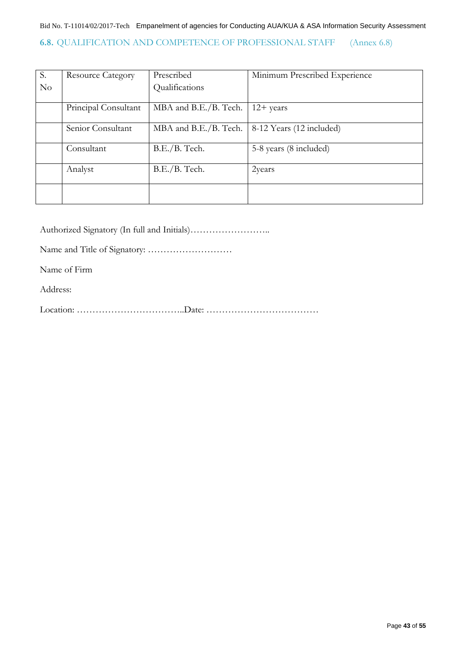## <span id="page-42-0"></span>**6.8.** QUALIFICATION AND COMPETENCE OF PROFESSIONAL STAFF (Annex 6.8)

| S.       | <b>Resource Category</b> | Prescribed            | Minimum Prescribed Experience |
|----------|--------------------------|-----------------------|-------------------------------|
| $\rm No$ |                          | Qualifications        |                               |
|          |                          |                       |                               |
|          | Principal Consultant     | MBA and B.E./B. Tech. | $12+$ years                   |
|          |                          |                       |                               |
|          | Senior Consultant        | MBA and B.E./B. Tech. | 8-12 Years (12 included)      |
|          | Consultant               | B.E./B. Tech.         | 5-8 years (8 included)        |
|          | Analyst                  | B.E./B. Tech.         | 2years                        |
|          |                          |                       |                               |

Authorized Signatory (In full and Initials)……………………..

Name and Title of Signatory: ………………………

Name of Firm

Address:

Location: ……………………………..Date: ………………………………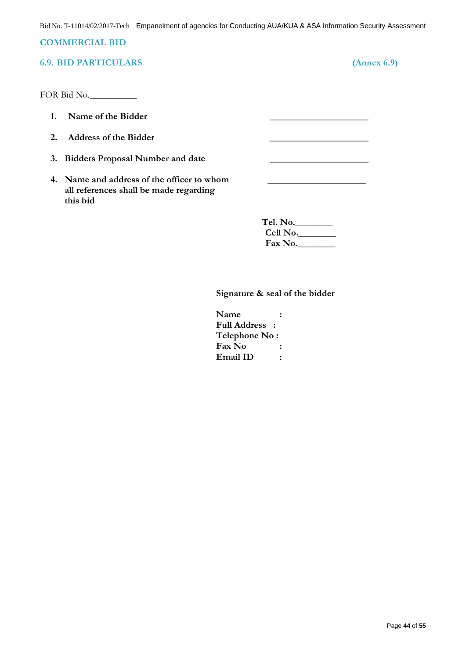### <span id="page-43-0"></span>**COMMERCIAL BID**

## <span id="page-43-1"></span>**6.9. BID PARTICULARS (Annex 6.9)**

FOR Bid No.

- 1. Name of the Bidder
- **2. Address of the Bidder \_\_\_\_\_\_\_\_\_\_\_\_\_\_\_\_\_\_\_\_\_**
- **3. Bidders Proposal Number and date \_\_\_\_\_\_\_\_\_\_\_\_\_\_\_\_\_\_\_\_\_**
- **4. Name and address of the officer to whom \_\_\_\_\_\_\_\_\_\_\_\_\_\_\_\_\_\_\_\_\_ all references shall be made regarding this bid**

| Tel. No. |  |
|----------|--|
| Cell No. |  |
| Fax No.  |  |

#### **Signature & seal of the bidder**

**Name : Full Address : Telephone No : Fax No : Email ID :**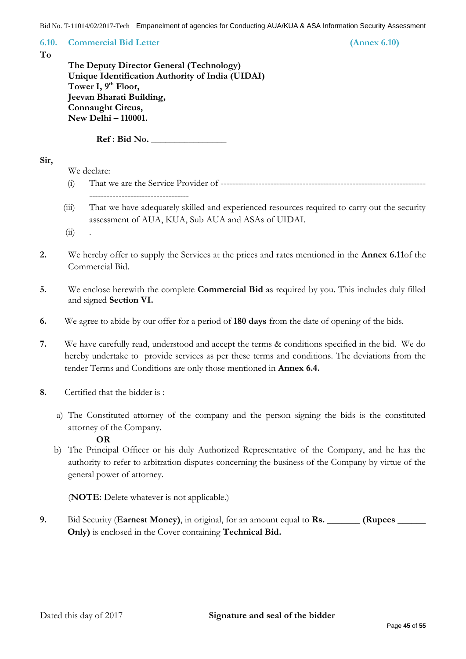<span id="page-44-0"></span>**6.10. Commercial Bid Letter (Annex 6.10)**

**To**

| The Deputy Director General (Technology)         |
|--------------------------------------------------|
| Unique Identification Authority of India (UIDAI) |
| Tower I, 9 <sup>th</sup> Floor,                  |
| Jeevan Bharati Building,                         |
| Connaught Circus,                                |
| New Delhi - 110001.                              |

 $Ref: Bid No.$ 

#### **Sir,**

We declare:

- (i) That we are the Service Provider of ----------------------------------------------------------------------
- (iii) That we have adequately skilled and experienced resources required to carry out the security assessment of AUA, KUA, Sub AUA and ASAs of UIDAI.
- $(ii)$  .
- **2.** We hereby offer to supply the Services at the prices and rates mentioned in the **Annex 6.11**of the Commercial Bid.
- **5.** We enclose herewith the complete **Commercial Bid** as required by you. This includes duly filled and signed **Section VI.**
- **6.** We agree to abide by our offer for a period of **180 days** from the date of opening of the bids.
- **7.** We have carefully read, understood and accept the terms & conditions specified in the bid. We do hereby undertake to provide services as per these terms and conditions. The deviations from the tender Terms and Conditions are only those mentioned in **Annex 6.4.**
- **8.** Certified that the bidder is :
	- a) The Constituted attorney of the company and the person signing the bids is the constituted attorney of the Company.

### **OR**

b) The Principal Officer or his duly Authorized Representative of the Company, and he has the authority to refer to arbitration disputes concerning the business of the Company by virtue of the general power of attorney.

(**NOTE:** Delete whatever is not applicable.)

**9.** Bid Security (**Earnest Money)**, in original, for an amount equal to **Rs. \_\_\_\_\_\_\_ (Rupees \_\_\_\_\_\_ Only)** is enclosed in the Cover containing **Technical Bid.**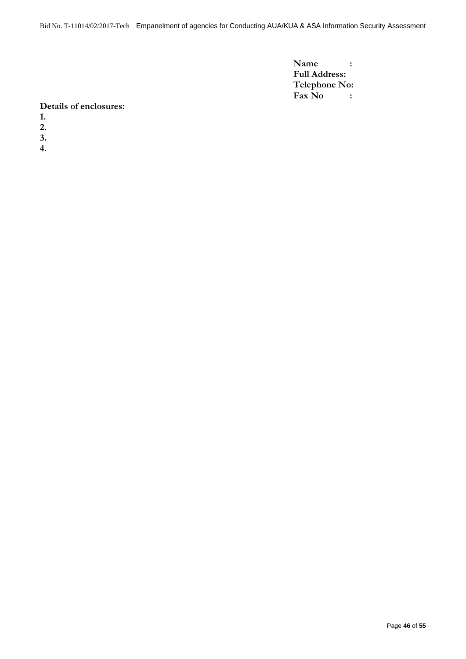**Name : Full Address: Telephone No: Fax No :**

#### **Details of enclosures:**

- **1.**
- **2.**
- **3.**
- 
- **4.**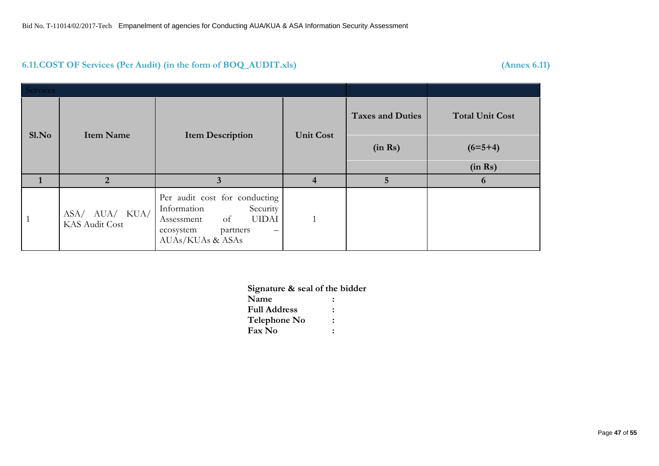## **6.11.COST OF Services (Per Audit) (in the form of BOQ\_AUDIT.xls) (Annex 6.11)**

<span id="page-46-0"></span>

| <b>Services</b> |                                  |                                                                                                                                                                              |                         |                         |                        |
|-----------------|----------------------------------|------------------------------------------------------------------------------------------------------------------------------------------------------------------------------|-------------------------|-------------------------|------------------------|
| S1.No           | <b>Item Name</b>                 | <b>Item Description</b>                                                                                                                                                      | <b>Unit Cost</b>        | <b>Taxes and Duties</b> | <b>Total Unit Cost</b> |
|                 |                                  |                                                                                                                                                                              |                         | (in Rs)                 | $(6=5+4)$              |
|                 |                                  |                                                                                                                                                                              |                         |                         | (in Rs)                |
|                 | $\overline{2}$                   | 3                                                                                                                                                                            | $\overline{\mathbf{4}}$ | $\overline{5}$          | 6                      |
|                 | ASA/ AUA/ KUA/<br>KAS Audit Cost | Per audit cost for conducting<br>Information<br>Security<br><b>UIDAI</b><br>of<br>Assessment<br>ecosystem<br>partners<br>$\hspace{0.1mm}-\hspace{0.1mm}$<br>AUAs/KUAs & ASAs |                         |                         |                        |

**Signature & seal of the bidder**

| Name                |   |  |
|---------------------|---|--|
| <b>Full Address</b> | ÷ |  |
| Telephone No        |   |  |
| <b>Fax No</b>       |   |  |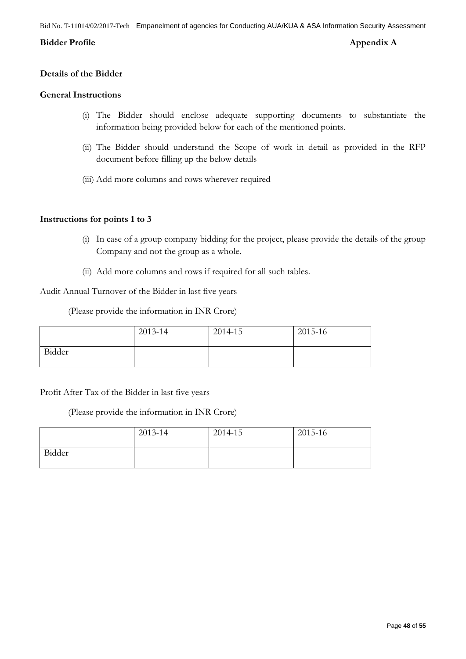#### <span id="page-47-0"></span>**Bidder Profile Appendix A**

#### **Details of the Bidder**

#### **General Instructions**

- (i) The Bidder should enclose adequate supporting documents to substantiate the information being provided below for each of the mentioned points.
- (ii) The Bidder should understand the Scope of work in detail as provided in the RFP document before filling up the below details
- (iii) Add more columns and rows wherever required

#### **Instructions for points 1 to 3**

- (i) In case of a group company bidding for the project, please provide the details of the group Company and not the group as a whole.
- (ii) Add more columns and rows if required for all such tables.

Audit Annual Turnover of the Bidder in last five years

(Please provide the information in INR Crore)

|        | 2013-14 | 2014-15 | 2015-16 |
|--------|---------|---------|---------|
| Bidder |         |         |         |

### Profit After Tax of the Bidder in last five years

(Please provide the information in INR Crore)

|        | 2013-14 | 2014-15 | 2015-16 |
|--------|---------|---------|---------|
| Bidder |         |         |         |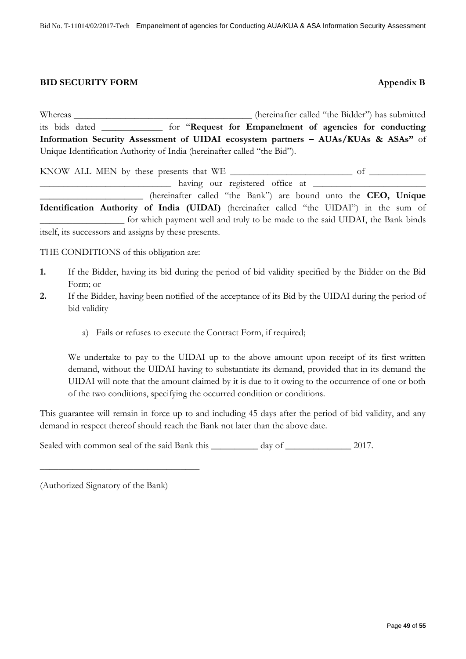#### <span id="page-48-0"></span>**BID SECURITY FORM Appendix B**

Whereas \_\_\_\_\_\_\_\_\_\_\_\_\_\_\_\_\_\_\_\_\_\_\_\_\_\_\_\_\_\_\_\_\_\_\_\_\_\_ (hereinafter called "the Bidder") has submitted its bids dated \_\_\_\_\_\_\_\_\_\_\_\_\_ for "**Request for Empanelment of agencies for conducting Information Security Assessment of UIDAI ecosystem partners – AUAs/KUAs & ASAs"** of Unique Identification Authority of India (hereinafter called "the Bid").

KNOW ALL MEN by these presents that WE \_\_\_\_\_\_\_\_\_\_\_\_\_\_\_\_\_\_\_\_\_\_\_\_\_\_ of \_\_\_\_\_\_\_\_\_\_\_\_ \_\_\_\_\_\_\_\_\_\_\_\_\_\_\_\_\_\_\_\_\_\_\_\_\_\_\_\_ having our registered office at \_\_\_\_\_\_\_\_\_\_\_\_\_\_\_\_\_\_\_\_\_\_\_\_

\_\_\_\_\_\_\_\_\_\_\_\_\_\_\_\_\_\_\_\_\_\_ (hereinafter called "the Bank") are bound unto the **CEO, Unique Identification Authority of India (UIDAI)** (hereinafter called "the UIDAI") in the sum of \_\_\_\_\_\_\_\_\_\_\_\_\_\_\_\_\_\_ for which payment well and truly to be made to the said UIDAI, the Bank binds itself, its successors and assigns by these presents.

THE CONDITIONS of this obligation are:

- **1.** If the Bidder, having its bid during the period of bid validity specified by the Bidder on the Bid Form; or
- **2.** If the Bidder, having been notified of the acceptance of its Bid by the UIDAI during the period of bid validity
	- a) Fails or refuses to execute the Contract Form, if required;

We undertake to pay to the UIDAI up to the above amount upon receipt of its first written demand, without the UIDAI having to substantiate its demand, provided that in its demand the UIDAI will note that the amount claimed by it is due to it owing to the occurrence of one or both of the two conditions, specifying the occurred condition or conditions.

This guarantee will remain in force up to and including 45 days after the period of bid validity, and any demand in respect thereof should reach the Bank not later than the above date.

Sealed with common seal of the said Bank this \_\_\_\_\_\_\_\_\_ day of \_\_\_\_\_\_\_\_\_\_\_ 2017.

(Authorized Signatory of the Bank)

\_\_\_\_\_\_\_\_\_\_\_\_\_\_\_\_\_\_\_\_\_\_\_\_\_\_\_\_\_\_\_\_\_\_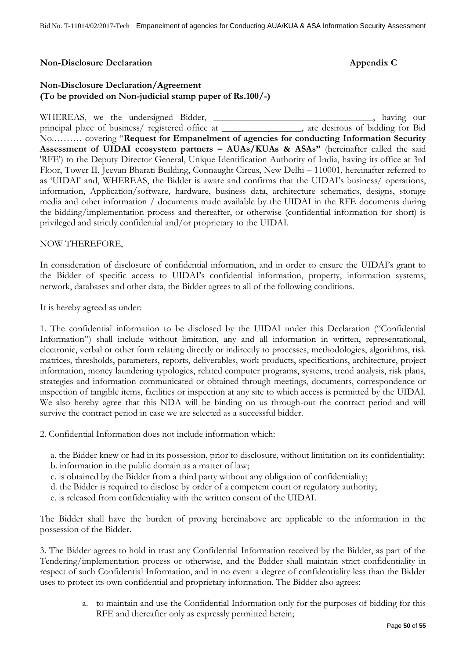#### <span id="page-49-0"></span>**Non-Disclosure Declaration Appendix C**

## **Non-Disclosure Declaration/Agreement (To be provided on Non-judicial stamp paper of Rs.100/-)**

WHEREAS, we the undersigned Bidder, \_\_\_\_\_\_\_\_\_\_\_\_\_\_\_\_\_\_\_\_\_\_\_\_\_\_\_\_, having our principal place of business/ registered office at \_\_\_\_\_\_\_\_\_\_\_\_\_\_\_\_\_, are desirous of bidding for Bid No.……… covering "**Request for Empanelment of agencies for conducting Information Security Assessment of UIDAI ecosystem partners – AUAs/KUAs & ASAs"** (hereinafter called the said 'RFE') to the Deputy Director General, Unique Identification Authority of India, having its office at 3rd Floor, Tower II, Jeevan Bharati Building, Connaught Circus, New Delhi – 110001, hereinafter referred to as "UIDAI' and, WHEREAS, the Bidder is aware and confirms that the UIDAI"s business/ operations, information, Application/software, hardware, business data, architecture schematics, designs, storage media and other information / documents made available by the UIDAI in the RFE documents during the bidding/implementation process and thereafter, or otherwise (confidential information for short) is privileged and strictly confidential and/or proprietary to the UIDAI.

#### NOW THEREFORE,

In consideration of disclosure of confidential information, and in order to ensure the UIDAI"s grant to the Bidder of specific access to UIDAI"s confidential information, property, information systems, network, databases and other data, the Bidder agrees to all of the following conditions.

It is hereby agreed as under:

1. The confidential information to be disclosed by the UIDAI under this Declaration ("Confidential Information") shall include without limitation, any and all information in written, representational, electronic, verbal or other form relating directly or indirectly to processes, methodologies, algorithms, risk matrices, thresholds, parameters, reports, deliverables, work products, specifications, architecture, project information, money laundering typologies, related computer programs, systems, trend analysis, risk plans, strategies and information communicated or obtained through meetings, documents, correspondence or inspection of tangible items, facilities or inspection at any site to which access is permitted by the UIDAI. We also hereby agree that this NDA will be binding on us through-out the contract period and will survive the contract period in case we are selected as a successful bidder.

2. Confidential Information does not include information which:

- a. the Bidder knew or had in its possession, prior to disclosure, without limitation on its confidentiality;
- b. information in the public domain as a matter of law;
- c. is obtained by the Bidder from a third party without any obligation of confidentiality;
- d. the Bidder is required to disclose by order of a competent court or regulatory authority;
- e. is released from confidentiality with the written consent of the UIDAI.

The Bidder shall have the burden of proving hereinabove are applicable to the information in the possession of the Bidder.

3. The Bidder agrees to hold in trust any Confidential Information received by the Bidder, as part of the Tendering/implementation process or otherwise, and the Bidder shall maintain strict confidentiality in respect of such Confidential Information, and in no event a degree of confidentiality less than the Bidder uses to protect its own confidential and proprietary information. The Bidder also agrees:

> a. to maintain and use the Confidential Information only for the purposes of bidding for this RFE and thereafter only as expressly permitted herein;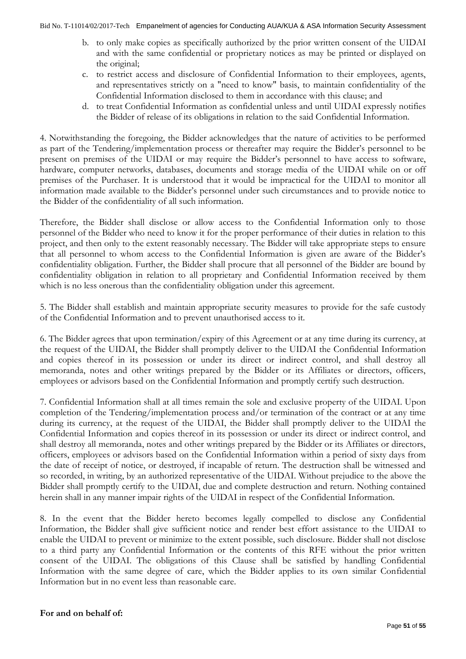- b. to only make copies as specifically authorized by the prior written consent of the UIDAI and with the same confidential or proprietary notices as may be printed or displayed on the original;
- c. to restrict access and disclosure of Confidential Information to their employees, agents, and representatives strictly on a "need to know" basis, to maintain confidentiality of the Confidential Information disclosed to them in accordance with this clause; and
- d. to treat Confidential Information as confidential unless and until UIDAI expressly notifies the Bidder of release of its obligations in relation to the said Confidential Information.

4. Notwithstanding the foregoing, the Bidder acknowledges that the nature of activities to be performed as part of the Tendering/implementation process or thereafter may require the Bidder"s personnel to be present on premises of the UIDAI or may require the Bidder"s personnel to have access to software, hardware, computer networks, databases, documents and storage media of the UIDAI while on or off premises of the Purchaser. It is understood that it would be impractical for the UIDAI to monitor all information made available to the Bidder"s personnel under such circumstances and to provide notice to the Bidder of the confidentiality of all such information.

Therefore, the Bidder shall disclose or allow access to the Confidential Information only to those personnel of the Bidder who need to know it for the proper performance of their duties in relation to this project, and then only to the extent reasonably necessary. The Bidder will take appropriate steps to ensure that all personnel to whom access to the Confidential Information is given are aware of the Bidder"s confidentiality obligation. Further, the Bidder shall procure that all personnel of the Bidder are bound by confidentiality obligation in relation to all proprietary and Confidential Information received by them which is no less onerous than the confidentiality obligation under this agreement.

5. The Bidder shall establish and maintain appropriate security measures to provide for the safe custody of the Confidential Information and to prevent unauthorised access to it.

6. The Bidder agrees that upon termination/expiry of this Agreement or at any time during its currency, at the request of the UIDAI, the Bidder shall promptly deliver to the UIDAI the Confidential Information and copies thereof in its possession or under its direct or indirect control, and shall destroy all memoranda, notes and other writings prepared by the Bidder or its Affiliates or directors, officers, employees or advisors based on the Confidential Information and promptly certify such destruction.

7. Confidential Information shall at all times remain the sole and exclusive property of the UIDAI. Upon completion of the Tendering/implementation process and/or termination of the contract or at any time during its currency, at the request of the UIDAI, the Bidder shall promptly deliver to the UIDAI the Confidential Information and copies thereof in its possession or under its direct or indirect control, and shall destroy all memoranda, notes and other writings prepared by the Bidder or its Affiliates or directors, officers, employees or advisors based on the Confidential Information within a period of sixty days from the date of receipt of notice, or destroyed, if incapable of return. The destruction shall be witnessed and so recorded, in writing, by an authorized representative of the UIDAI. Without prejudice to the above the Bidder shall promptly certify to the UIDAI, due and complete destruction and return. Nothing contained herein shall in any manner impair rights of the UIDAI in respect of the Confidential Information.

8. In the event that the Bidder hereto becomes legally compelled to disclose any Confidential Information, the Bidder shall give sufficient notice and render best effort assistance to the UIDAI to enable the UIDAI to prevent or minimize to the extent possible, such disclosure. Bidder shall not disclose to a third party any Confidential Information or the contents of this RFE without the prior written consent of the UIDAI. The obligations of this Clause shall be satisfied by handling Confidential Information with the same degree of care, which the Bidder applies to its own similar Confidential Information but in no event less than reasonable care.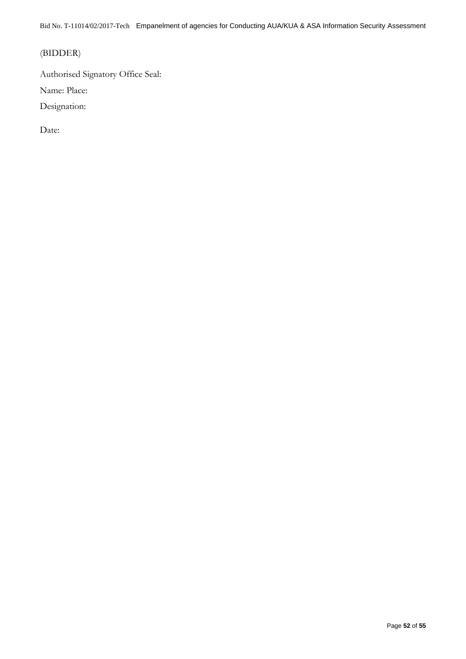## (BIDDER)

Authorised Signatory Office Seal:

Name: Place:

Designation:

Date: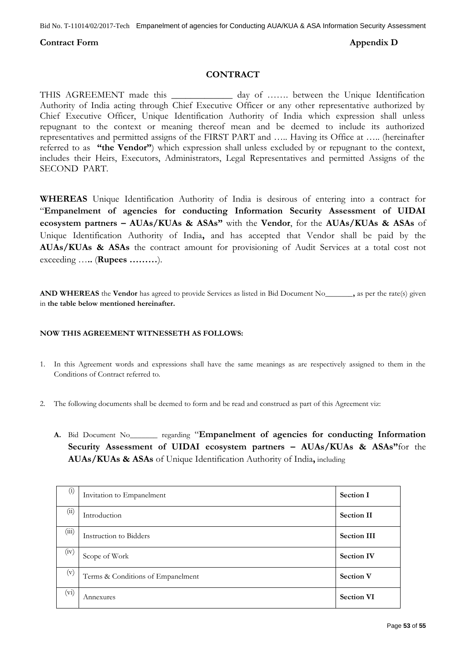#### <span id="page-52-0"></span>**Contract Form Appendix D**

#### **CONTRACT**

THIS AGREEMENT made this \_\_\_\_\_\_\_\_\_\_\_\_ day of ……. between the Unique Identification Authority of India acting through Chief Executive Officer or any other representative authorized by Chief Executive Officer, Unique Identification Authority of India which expression shall unless repugnant to the context or meaning thereof mean and be deemed to include its authorized representatives and permitted assigns of the FIRST PART and ….. Having its Office at ….. (hereinafter referred to as **"the Vendor"**) which expression shall unless excluded by or repugnant to the context, includes their Heirs, Executors, Administrators, Legal Representatives and permitted Assigns of the SECOND PART.

**WHEREAS** Unique Identification Authority of India is desirous of entering into a contract for "**Empanelment of agencies for conducting Information Security Assessment of UIDAI ecosystem partners – AUAs/KUAs & ASAs"** with the **Vendor**, for the **AUAs/KUAs & ASAs** of Unique Identification Authority of India**,** and has accepted that Vendor shall be paid by the **AUAs/KUAs & ASAs** the contract amount for provisioning of Audit Services at a total cost not exceeding …**..** (**Rupees ………**).

**AND WHEREAS** the **Vendor** has agreed to provide Services as listed in Bid Document No\_\_\_\_\_\_\_**,** as per the rate(s) given in **the table below mentioned hereinafter.**

#### **NOW THIS AGREEMENT WITNESSETH AS FOLLOWS:**

- 1. In this Agreement words and expressions shall have the same meanings as are respectively assigned to them in the Conditions of Contract referred to.
- 2. The following documents shall be deemed to form and be read and construed as part of this Agreement viz:
	- **A.** Bid Document No\_\_\_\_\_\_\_ regarding "**Empanelment of agencies for conducting Information Security Assessment of UIDAI ecosystem partners – AUAs/KUAs & ASAs"**for the **AUAs/KUAs & ASAs** of Unique Identification Authority of India**,** including

| $\left( i\right)$ | Invitation to Empanelment         | <b>Section I</b>   |
|-------------------|-----------------------------------|--------------------|
| (ii)              | Introduction                      | <b>Section II</b>  |
| (iii)             | Instruction to Bidders            | <b>Section III</b> |
| (iv)              | Scope of Work                     | <b>Section IV</b>  |
| (v)               | Terms & Conditions of Empanelment | <b>Section V</b>   |
| (vi)              | Annexures                         | <b>Section VI</b>  |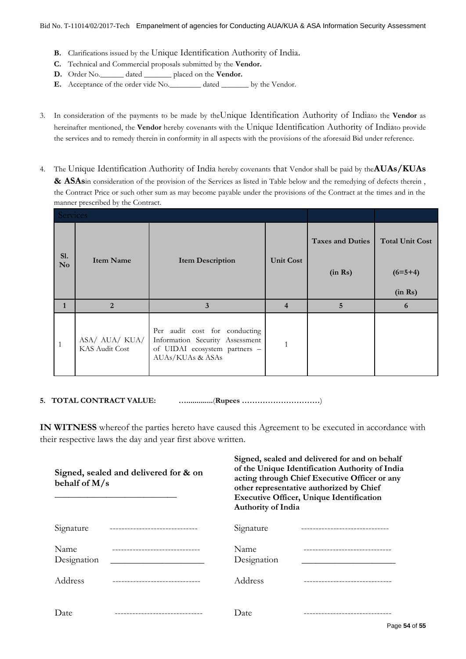- **B.** Clarifications issued by the Unique Identification Authority of India**.**
- **C.** Technical and Commercial proposals submitted by the **Vendor.**
- **D.** Order No.\_\_\_\_\_\_ dated \_\_\_\_\_\_\_ placed on the **Vendor.**
- **E.** Acceptance of the order vide No.\_\_\_\_\_\_\_\_ dated \_\_\_\_\_\_\_ by the Vendor.
- 3. In consideration of the payments to be made by theUnique Identification Authority of Indiato the **Vendor** as hereinafter mentioned, the **Vendor** hereby covenants with the Unique Identification Authority of Indiato provide the services and to remedy therein in conformity in all aspects with the provisions of the aforesaid Bid under reference.
- 4. The Unique Identification Authority of India hereby covenants that Vendor shall be paid by the**AUAs/KUAs & ASAs**in consideration of the provision of the Services as listed in Table below and the remedying of defects therein , the Contract Price or such other sum as may become payable under the provisions of the Contract at the times and in the manner prescribed by the Contract.

| Services              |                                  |                                                                                                                       |                  |                                    |                                     |
|-----------------------|----------------------------------|-----------------------------------------------------------------------------------------------------------------------|------------------|------------------------------------|-------------------------------------|
| Sl.<br>N <sub>o</sub> | <b>Item Name</b>                 | <b>Item Description</b>                                                                                               | <b>Unit Cost</b> | <b>Taxes and Duties</b><br>(in Rs) | <b>Total Unit Cost</b><br>$(6=5+4)$ |
|                       |                                  |                                                                                                                       |                  |                                    | (in Rs)                             |
|                       | $\overline{2}$                   | 3                                                                                                                     | 4                | 5                                  | 6                                   |
| $\mathbf{1}$          | ASA/ AUA/ KUA/<br>KAS Audit Cost | Per audit cost for conducting<br>Information Security Assessment<br>of UIDAI ecosystem partners -<br>AUAs/KUAs & ASAs |                  |                                    |                                     |

**5. TOTAL CONTRACT VALUE: ….............**(**Rupees …………………………**)

**IN WITNESS** whereof the parties hereto have caused this Agreement to be executed in accordance with their respective laws the day and year first above written.

| Signed, sealed and delivered for & on<br>behalf of M/s |  | Signed, sealed and delivered for and on behalf<br>of the Unique Identification Authority of India<br>acting through Chief Executive Officer or any<br>other representative authorized by Chief<br><b>Executive Officer, Unique Identification</b><br><b>Authority of India</b> |  |
|--------------------------------------------------------|--|--------------------------------------------------------------------------------------------------------------------------------------------------------------------------------------------------------------------------------------------------------------------------------|--|
| Signature                                              |  | Signature                                                                                                                                                                                                                                                                      |  |
| Name<br>Designation                                    |  | Name<br>Designation                                                                                                                                                                                                                                                            |  |
| Address                                                |  | Address                                                                                                                                                                                                                                                                        |  |
| Date                                                   |  | Date                                                                                                                                                                                                                                                                           |  |